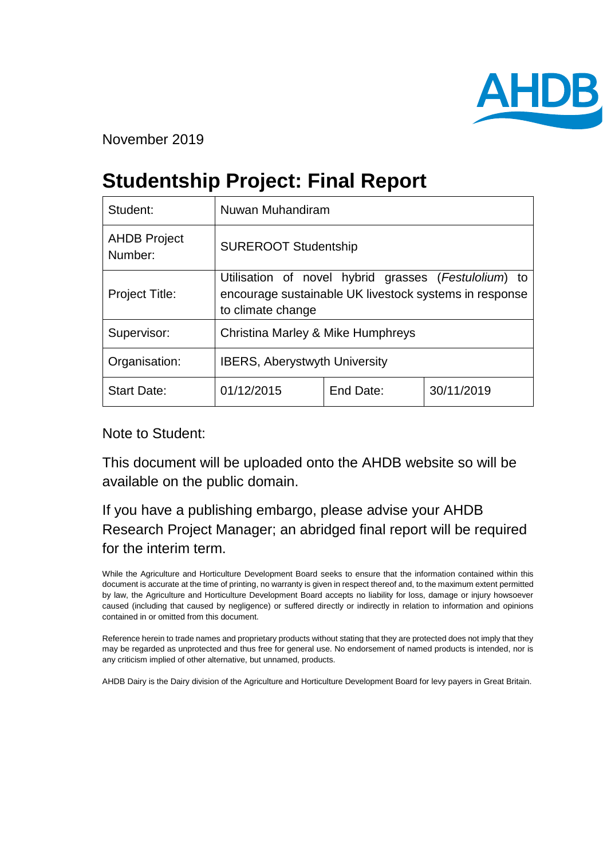

November 2019

# **Studentship Project: Final Report**

| Student:                       | Nuwan Muhandiram                                                                                                                    |           |            |
|--------------------------------|-------------------------------------------------------------------------------------------------------------------------------------|-----------|------------|
| <b>AHDB Project</b><br>Number: | <b>SUREROOT Studentship</b>                                                                                                         |           |            |
| Project Title:                 | Utilisation of novel hybrid grasses (Festulolium) to<br>encourage sustainable UK livestock systems in response<br>to climate change |           |            |
| Supervisor:                    | <b>Christina Marley &amp; Mike Humphreys</b>                                                                                        |           |            |
| Organisation:                  | <b>IBERS, Aberystwyth University</b>                                                                                                |           |            |
| <b>Start Date:</b>             | 01/12/2015                                                                                                                          | End Date: | 30/11/2019 |

Note to Student:

This document will be uploaded onto the AHDB website so will be available on the public domain.

# If you have a publishing embargo, please advise your AHDB Research Project Manager; an abridged final report will be required for the interim term.

While the Agriculture and Horticulture Development Board seeks to ensure that the information contained within this document is accurate at the time of printing, no warranty is given in respect thereof and, to the maximum extent permitted by law, the Agriculture and Horticulture Development Board accepts no liability for loss, damage or injury howsoever caused (including that caused by negligence) or suffered directly or indirectly in relation to information and opinions contained in or omitted from this document.

Reference herein to trade names and proprietary products without stating that they are protected does not imply that they may be regarded as unprotected and thus free for general use. No endorsement of named products is intended, nor is any criticism implied of other alternative, but unnamed, products.

AHDB Dairy is the Dairy division of the Agriculture and Horticulture Development Board for levy payers in Great Britain.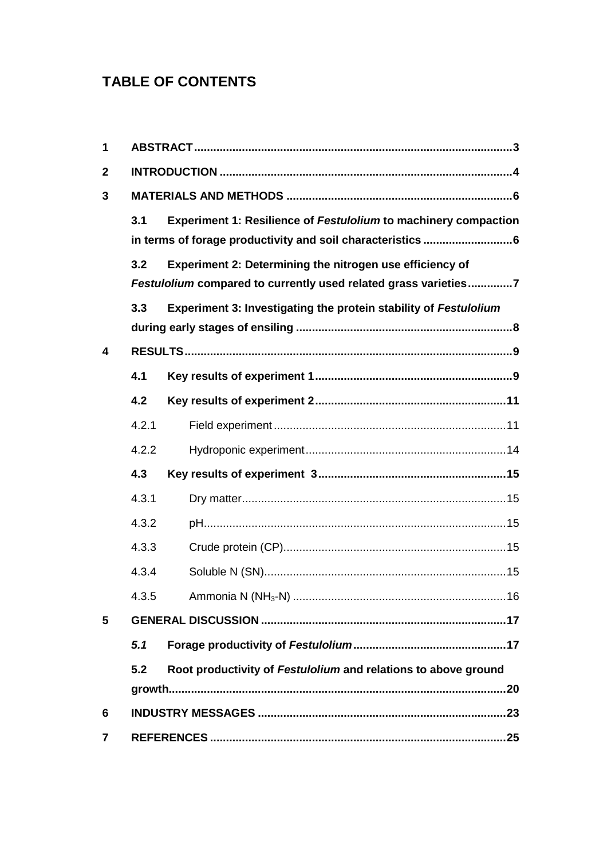# **TABLE OF CONTENTS**

| 1            |       |                                                                        |  |
|--------------|-------|------------------------------------------------------------------------|--|
| $\mathbf{2}$ |       |                                                                        |  |
| 3            |       |                                                                        |  |
|              | 3.1   | <b>Experiment 1: Resilience of Festulolium to machinery compaction</b> |  |
|              |       |                                                                        |  |
|              | 3.2   | Experiment 2: Determining the nitrogen use efficiency of               |  |
|              |       | Festulolium compared to currently used related grass varieties7        |  |
|              | 3.3   | Experiment 3: Investigating the protein stability of Festulolium       |  |
|              |       |                                                                        |  |
| 4            |       |                                                                        |  |
|              | 4.1   |                                                                        |  |
|              | 4.2   |                                                                        |  |
|              | 4.2.1 |                                                                        |  |
|              | 4.2.2 |                                                                        |  |
|              | 4.3   |                                                                        |  |
|              | 4.3.1 |                                                                        |  |
|              | 4.3.2 |                                                                        |  |
|              | 4.3.3 |                                                                        |  |
|              | 4.3.4 |                                                                        |  |
|              | 4.3.5 |                                                                        |  |
| 5            |       |                                                                        |  |
|              | 5.1   |                                                                        |  |
|              | 5.2   | Root productivity of Festulolium and relations to above ground         |  |
|              |       |                                                                        |  |
| 6            |       |                                                                        |  |
| 7            |       |                                                                        |  |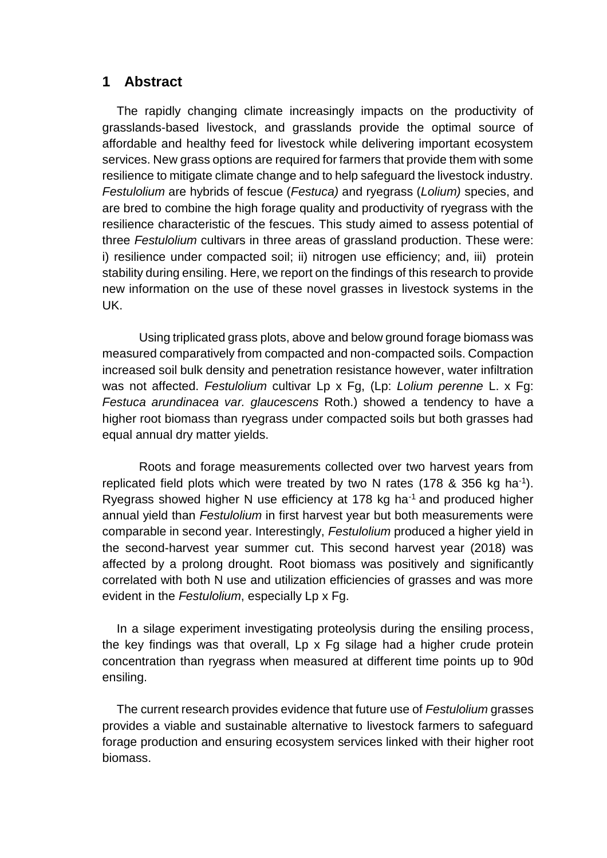# **1 Abstract**

The rapidly changing climate increasingly impacts on the productivity of grasslands-based livestock, and grasslands provide the optimal source of affordable and healthy feed for livestock while delivering important ecosystem services. New grass options are required for farmers that provide them with some resilience to mitigate climate change and to help safeguard the livestock industry. *Festulolium* are hybrids of fescue (*Festuca)* and ryegrass (*Lolium)* species, and are bred to combine the high forage quality and productivity of ryegrass with the resilience characteristic of the fescues. This study aimed to assess potential of three *Festulolium* cultivars in three areas of grassland production. These were: i) resilience under compacted soil; ii) nitrogen use efficiency; and, iii) protein stability during ensiling. Here, we report on the findings of this research to provide new information on the use of these novel grasses in livestock systems in the UK.

Using triplicated grass plots, above and below ground forage biomass was measured comparatively from compacted and non-compacted soils. Compaction increased soil bulk density and penetration resistance however, water infiltration was not affected. *Festulolium* cultivar Lp x Fg, (Lp: *Lolium perenne* L. x Fg: *Festuca arundinacea var. glaucescens* Roth.) showed a tendency to have a higher root biomass than ryegrass under compacted soils but both grasses had equal annual dry matter yields.

Roots and forage measurements collected over two harvest years from replicated field plots which were treated by two N rates (178 & 356 kg ha<sup>-1</sup>). Ryegrass showed higher N use efficiency at 178 kg ha-1 and produced higher annual yield than *Festulolium* in first harvest year but both measurements were comparable in second year. Interestingly, *Festulolium* produced a higher yield in the second-harvest year summer cut. This second harvest year (2018) was affected by a prolong drought. Root biomass was positively and significantly correlated with both N use and utilization efficiencies of grasses and was more evident in the *Festulolium*, especially Lp x Fg.

In a silage experiment investigating proteolysis during the ensiling process, the key findings was that overall, Lp x Fg silage had a higher crude protein concentration than ryegrass when measured at different time points up to 90d ensiling.

The current research provides evidence that future use of *Festulolium* grasses provides a viable and sustainable alternative to livestock farmers to safeguard forage production and ensuring ecosystem services linked with their higher root biomass.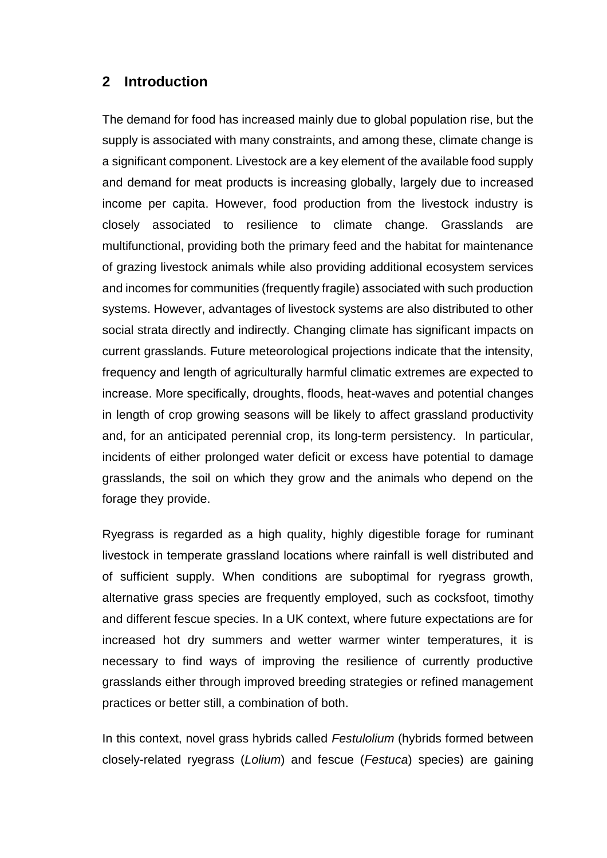# **2 Introduction**

The demand for food has increased mainly due to global population rise, but the supply is associated with many constraints, and among these, climate change is a significant component. Livestock are a key element of the available food supply and demand for meat products is increasing globally, largely due to increased income per capita. However, food production from the livestock industry is closely associated to resilience to climate change. Grasslands are multifunctional, providing both the primary feed and the habitat for maintenance of grazing livestock animals while also providing additional ecosystem services and incomes for communities (frequently fragile) associated with such production systems. However, advantages of livestock systems are also distributed to other social strata directly and indirectly. Changing climate has significant impacts on current grasslands. Future meteorological projections indicate that the intensity, frequency and length of agriculturally harmful climatic extremes are expected to increase. More specifically, droughts, floods, heat-waves and potential changes in length of crop growing seasons will be likely to affect grassland productivity and, for an anticipated perennial crop, its long-term persistency. In particular, incidents of either prolonged water deficit or excess have potential to damage grasslands, the soil on which they grow and the animals who depend on the forage they provide.

Ryegrass is regarded as a high quality, highly digestible forage for ruminant livestock in temperate grassland locations where rainfall is well distributed and of sufficient supply. When conditions are suboptimal for ryegrass growth, alternative grass species are frequently employed, such as cocksfoot, timothy and different fescue species. In a UK context, where future expectations are for increased hot dry summers and wetter warmer winter temperatures, it is necessary to find ways of improving the resilience of currently productive grasslands either through improved breeding strategies or refined management practices or better still, a combination of both.

In this context, novel grass hybrids called *Festulolium* (hybrids formed between closely-related ryegrass (*Lolium*) and fescue (*Festuca*) species) are gaining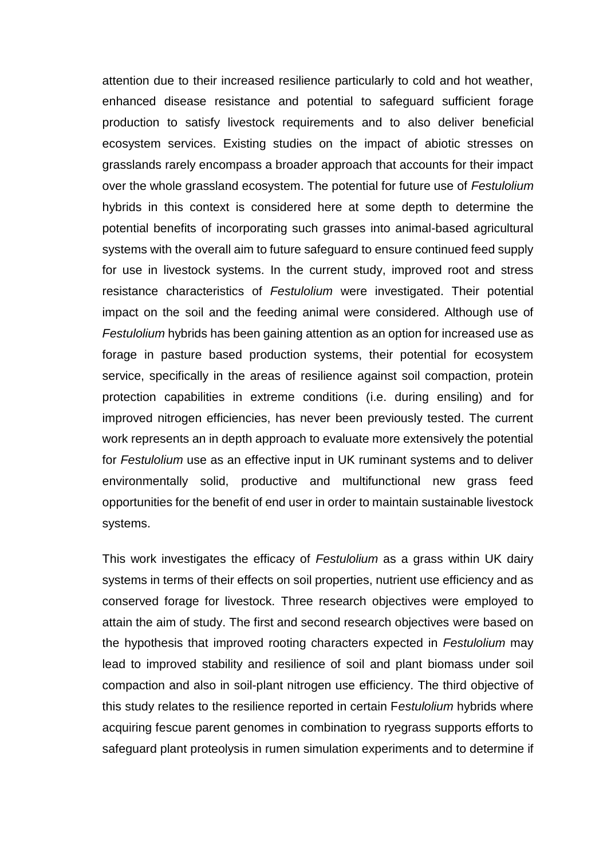attention due to their increased resilience particularly to cold and hot weather, enhanced disease resistance and potential to safeguard sufficient forage production to satisfy livestock requirements and to also deliver beneficial ecosystem services. Existing studies on the impact of abiotic stresses on grasslands rarely encompass a broader approach that accounts for their impact over the whole grassland ecosystem. The potential for future use of *Festulolium* hybrids in this context is considered here at some depth to determine the potential benefits of incorporating such grasses into animal-based agricultural systems with the overall aim to future safeguard to ensure continued feed supply for use in livestock systems. In the current study, improved root and stress resistance characteristics of *Festulolium* were investigated. Their potential impact on the soil and the feeding animal were considered. Although use of *Festulolium* hybrids has been gaining attention as an option for increased use as forage in pasture based production systems, their potential for ecosystem service, specifically in the areas of resilience against soil compaction, protein protection capabilities in extreme conditions (i.e. during ensiling) and for improved nitrogen efficiencies, has never been previously tested. The current work represents an in depth approach to evaluate more extensively the potential for *Festulolium* use as an effective input in UK ruminant systems and to deliver environmentally solid, productive and multifunctional new grass feed opportunities for the benefit of end user in order to maintain sustainable livestock systems.

This work investigates the efficacy of *Festulolium* as a grass within UK dairy systems in terms of their effects on soil properties, nutrient use efficiency and as conserved forage for livestock. Three research objectives were employed to attain the aim of study. The first and second research objectives were based on the hypothesis that improved rooting characters expected in *Festulolium* may lead to improved stability and resilience of soil and plant biomass under soil compaction and also in soil-plant nitrogen use efficiency. The third objective of this study relates to the resilience reported in certain F*estulolium* hybrids where acquiring fescue parent genomes in combination to ryegrass supports efforts to safeguard plant proteolysis in rumen simulation experiments and to determine if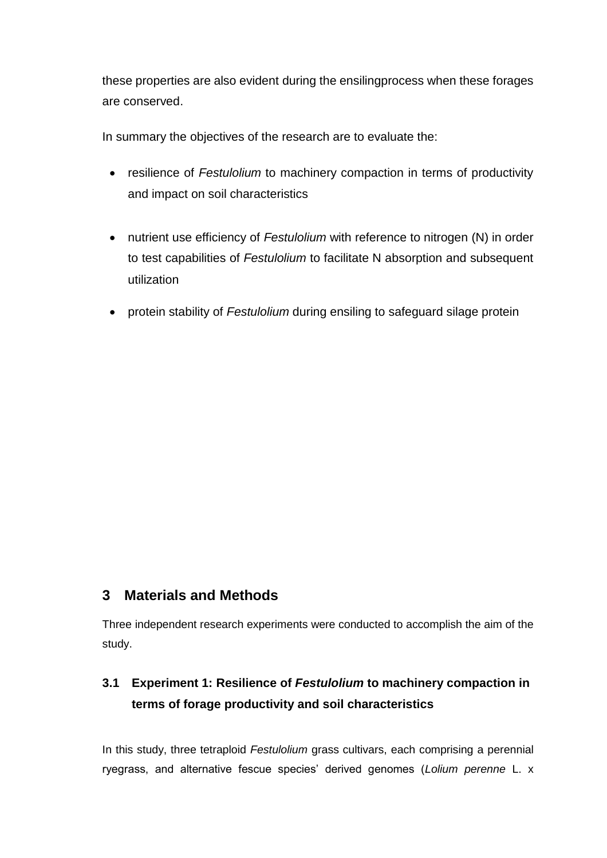these properties are also evident during the ensilingprocess when these forages are conserved.

In summary the objectives of the research are to evaluate the:

- resilience of *Festulolium* to machinery compaction in terms of productivity and impact on soil characteristics
- nutrient use efficiency of *Festulolium* with reference to nitrogen (N) in order to test capabilities of *Festulolium* to facilitate N absorption and subsequent utilization
- protein stability of *Festulolium* during ensiling to safeguard silage protein

# **3 Materials and Methods**

Three independent research experiments were conducted to accomplish the aim of the study.

# **3.1 Experiment 1: Resilience of** *Festulolium* **to machinery compaction in terms of forage productivity and soil characteristics**

In this study, three tetraploid *Festulolium* grass cultivars, each comprising a perennial ryegrass, and alternative fescue species' derived genomes (*Lolium perenne* L. x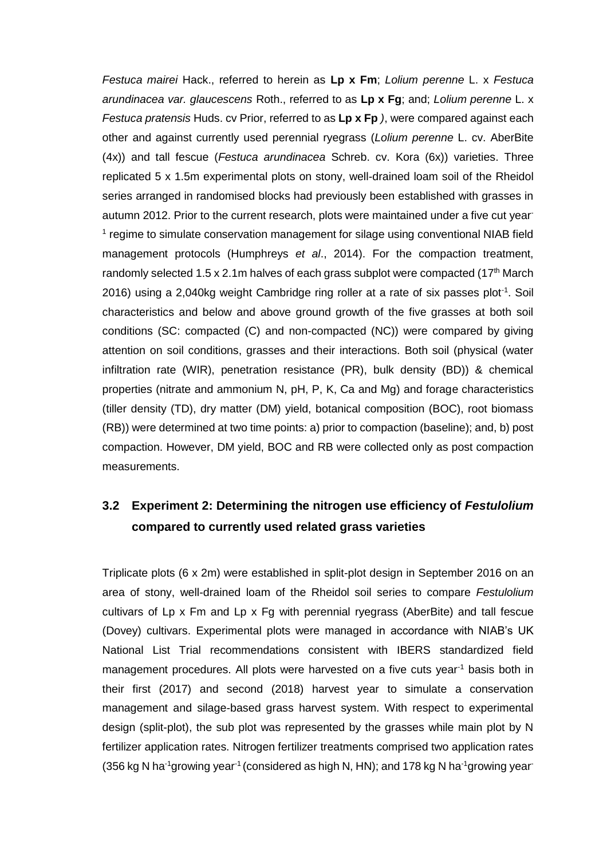*Festuca mairei* Hack., referred to herein as **Lp x Fm**; *Lolium perenne* L. x *Festuca arundinacea var. glaucescens* Roth., referred to as **Lp x Fg**; and; *Lolium perenne* L. x *Festuca pratensis* Huds. cv Prior, referred to as **Lp x Fp** *)*, were compared against each other and against currently used perennial ryegrass (*Lolium perenne* L. cv. AberBite (4x)) and tall fescue (*Festuca arundinacea* Schreb. cv. Kora (6x)) varieties. Three replicated 5 x 1.5m experimental plots on stony, well-drained loam soil of the Rheidol series arranged in randomised blocks had previously been established with grasses in autumn 2012. Prior to the current research, plots were maintained under a five cut year-<sup>1</sup> regime to simulate conservation management for silage using conventional NIAB field management protocols (Humphreys *et al*., 2014). For the compaction treatment, randomly selected 1.5 x 2.1m halves of each grass subplot were compacted (17<sup>th</sup> March 2016) using a 2,040kg weight Cambridge ring roller at a rate of six passes plot<sup>-1</sup>. Soil characteristics and below and above ground growth of the five grasses at both soil conditions (SC: compacted (C) and non-compacted (NC)) were compared by giving attention on soil conditions, grasses and their interactions. Both soil (physical (water infiltration rate (WIR), penetration resistance (PR), bulk density (BD)) & chemical properties (nitrate and ammonium N, pH, P, K, Ca and Mg) and forage characteristics (tiller density (TD), dry matter (DM) yield, botanical composition (BOC), root biomass (RB)) were determined at two time points: a) prior to compaction (baseline); and, b) post compaction. However, DM yield, BOC and RB were collected only as post compaction measurements.

# **3.2 Experiment 2: Determining the nitrogen use efficiency of** *Festulolium* **compared to currently used related grass varieties**

Triplicate plots (6 x 2m) were established in split-plot design in September 2016 on an area of stony, well-drained loam of the Rheidol soil series to compare *Festulolium* cultivars of Lp x Fm and Lp x Fg with perennial ryegrass (AberBite) and tall fescue (Dovey) cultivars. Experimental plots were managed in accordance with NIAB's UK National List Trial recommendations consistent with IBERS standardized field management procedures. All plots were harvested on a five cuts year<sup>-1</sup> basis both in their first (2017) and second (2018) harvest year to simulate a conservation management and silage-based grass harvest system. With respect to experimental design (split-plot), the sub plot was represented by the grasses while main plot by N fertilizer application rates. Nitrogen fertilizer treatments comprised two application rates (356 kg N ha<sup>-1</sup>growing year<sup>-1</sup> (considered as high N, HN); and 178 kg N ha<sup>-1</sup>growing year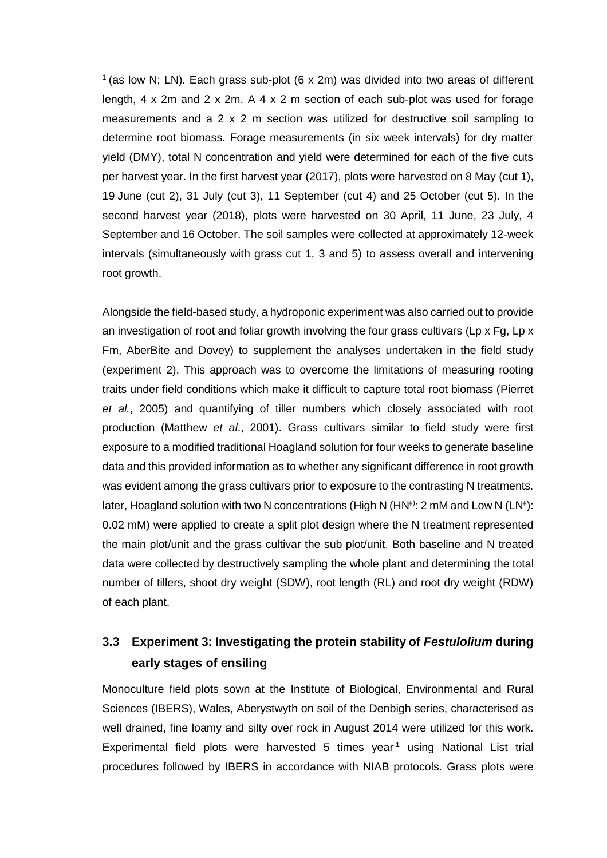<sup>1</sup> (as low N; LN). Each grass sub-plot (6 x 2m) was divided into two areas of different length, 4 x 2m and 2 x 2m. A 4 x 2 m section of each sub-plot was used for forage measurements and a 2 x 2 m section was utilized for destructive soil sampling to determine root biomass. Forage measurements (in six week intervals) for dry matter yield (DMY), total N concentration and yield were determined for each of the five cuts per harvest year. In the first harvest year (2017), plots were harvested on 8 May (cut 1), 19 June (cut 2), 31 July (cut 3), 11 September (cut 4) and 25 October (cut 5). In the second harvest year (2018), plots were harvested on 30 April, 11 June, 23 July, 4 September and 16 October. The soil samples were collected at approximately 12-week intervals (simultaneously with grass cut 1, 3 and 5) to assess overall and intervening root growth.

Alongside the field-based study, a hydroponic experiment was also carried out to provide an investigation of root and foliar growth involving the four grass cultivars (Lp  $\times$  Fg, Lp  $\times$ Fm, AberBite and Dovey) to supplement the analyses undertaken in the field study (experiment 2). This approach was to overcome the limitations of measuring rooting traits under field conditions which make it difficult to capture total root biomass (Pierret *et al.*, 2005) and quantifying of tiller numbers which closely associated with root production (Matthew *et al*., 2001). Grass cultivars similar to field study were first exposure to a modified traditional Hoagland solution for four weeks to generate baseline data and this provided information as to whether any significant difference in root growth was evident among the grass cultivars prior to exposure to the contrasting N treatments. later, Hoagland solution with two N concentrations (High N (HN‡): 2 mM and Low N (LN‡): 0.02 mM) were applied to create a split plot design where the N treatment represented the main plot/unit and the grass cultivar the sub plot/unit. Both baseline and N treated data were collected by destructively sampling the whole plant and determining the total number of tillers, shoot dry weight (SDW), root length (RL) and root dry weight (RDW) of each plant.

# **3.3 Experiment 3: Investigating the protein stability of** *Festulolium* **during early stages of ensiling**

Monoculture field plots sown at the Institute of Biological, Environmental and Rural Sciences (IBERS), Wales, Aberystwyth on soil of the Denbigh series, characterised as well drained, fine loamy and silty over rock in August 2014 were utilized for this work. Experimental field plots were harvested 5 times year<sup>-1</sup> using National List trial procedures followed by IBERS in accordance with NIAB protocols. Grass plots were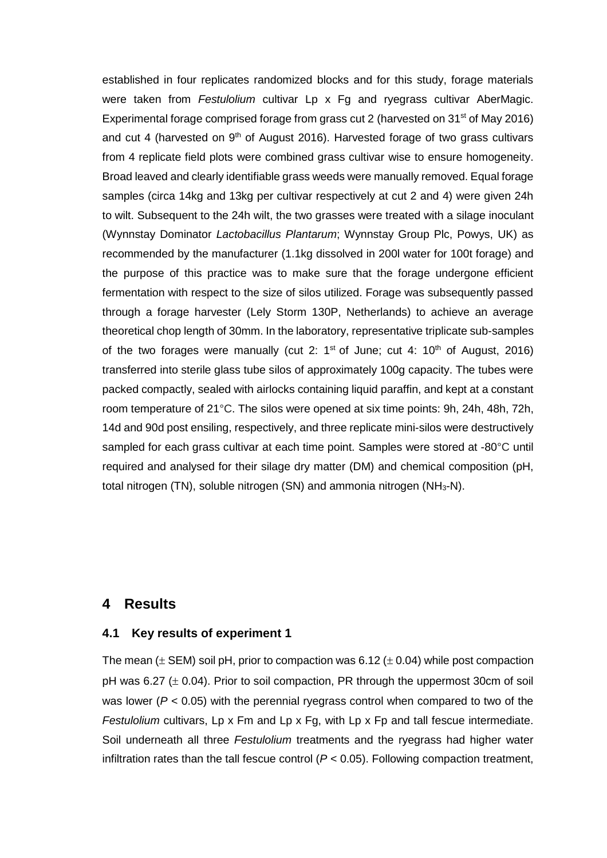established in four replicates randomized blocks and for this study, forage materials were taken from *Festulolium* cultivar Lp x Fg and ryegrass cultivar AberMagic. Experimental forage comprised forage from grass cut 2 (harvested on 31<sup>st</sup> of May 2016) and cut 4 (harvested on  $9<sup>th</sup>$  of August 2016). Harvested forage of two grass cultivars from 4 replicate field plots were combined grass cultivar wise to ensure homogeneity. Broad leaved and clearly identifiable grass weeds were manually removed. Equal forage samples (circa 14kg and 13kg per cultivar respectively at cut 2 and 4) were given 24h to wilt. Subsequent to the 24h wilt, the two grasses were treated with a silage inoculant (Wynnstay Dominator *Lactobacillus Plantarum*; Wynnstay Group Plc, Powys, UK) as recommended by the manufacturer (1.1kg dissolved in 200l water for 100t forage) and the purpose of this practice was to make sure that the forage undergone efficient fermentation with respect to the size of silos utilized. Forage was subsequently passed through a forage harvester (Lely Storm 130P, Netherlands) to achieve an average theoretical chop length of 30mm. In the laboratory, representative triplicate sub-samples of the two forages were manually (cut 2:  $1<sup>st</sup>$  of June; cut 4:  $10<sup>th</sup>$  of August, 2016) transferred into sterile glass tube silos of approximately 100g capacity. The tubes were packed compactly, sealed with airlocks containing liquid paraffin, and kept at a constant room temperature of 21°C. The silos were opened at six time points: 9h, 24h, 48h, 72h, 14d and 90d post ensiling, respectively, and three replicate mini-silos were destructively sampled for each grass cultivar at each time point. Samples were stored at -80°C until required and analysed for their silage dry matter (DM) and chemical composition (pH, total nitrogen  $(TN)$ , soluble nitrogen  $(SN)$  and ammonia nitrogen  $(NH<sub>3</sub>-N)$ .

#### **4 Results**

#### **4.1 Key results of experiment 1**

The mean ( $\pm$  SEM) soil pH, prior to compaction was 6.12 ( $\pm$  0.04) while post compaction pH was 6.27  $(\pm 0.04)$ . Prior to soil compaction, PR through the uppermost 30cm of soil was lower ( $P < 0.05$ ) with the perennial ryegrass control when compared to two of the *Festulolium* cultivars, Lp x Fm and Lp x Fg, with Lp x Fp and tall fescue intermediate. Soil underneath all three *Festulolium* treatments and the ryegrass had higher water infiltration rates than the tall fescue control (*P* < 0.05). Following compaction treatment,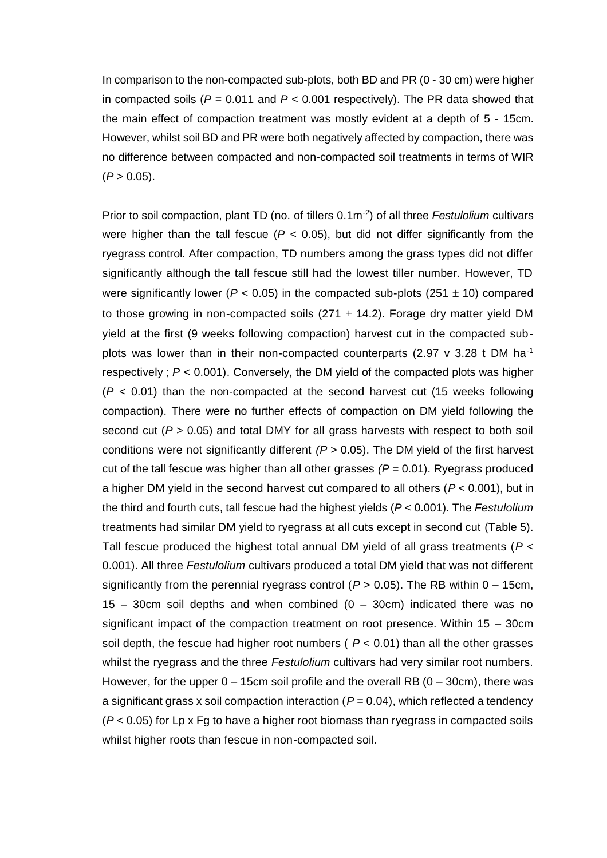In comparison to the non-compacted sub-plots, both BD and PR (0 - 30 cm) were higher in compacted soils ( $P = 0.011$  and  $P < 0.001$  respectively). The PR data showed that the main effect of compaction treatment was mostly evident at a depth of 5 - 15cm. However, whilst soil BD and PR were both negatively affected by compaction, there was no difference between compacted and non-compacted soil treatments in terms of WIR  $(P > 0.05)$ .

Prior to soil compaction, plant TD (no. of tillers 0.1m<sup>-2</sup>) of all three *Festulolium* cultivars were higher than the tall fescue ( $P < 0.05$ ), but did not differ significantly from the ryegrass control. After compaction, TD numbers among the grass types did not differ significantly although the tall fescue still had the lowest tiller number. However, TD were significantly lower ( $P < 0.05$ ) in the compacted sub-plots ( $251 \pm 10$ ) compared to those growing in non-compacted soils (271  $\pm$  14.2). Forage dry matter yield DM yield at the first (9 weeks following compaction) harvest cut in the compacted subplots was lower than in their non-compacted counterparts (2.97  $v$  3.28 t DM ha<sup>-1</sup> respectively ; *P* < 0.001). Conversely, the DM yield of the compacted plots was higher  $(P < 0.01)$  than the non-compacted at the second harvest cut (15 weeks following compaction). There were no further effects of compaction on DM yield following the second cut ( $P > 0.05$ ) and total DMY for all grass harvests with respect to both soil conditions were not significantly different *(P* > 0.05). The DM yield of the first harvest cut of the tall fescue was higher than all other grasses *(P* = 0.01). Ryegrass produced a higher DM yield in the second harvest cut compared to all others (*P* < 0.001), but in the third and fourth cuts, tall fescue had the highest yields (*P* < 0.001). The *Festulolium* treatments had similar DM yield to ryegrass at all cuts except in second cut (Table 5). Tall fescue produced the highest total annual DM yield of all grass treatments (*P* < 0.001). All three *Festulolium* cultivars produced a total DM yield that was not different significantly from the perennial ryegrass control ( $P > 0.05$ ). The RB within  $0 - 15$ cm, 15 – 30cm soil depths and when combined  $(0 - 30$ cm) indicated there was no significant impact of the compaction treatment on root presence. Within 15 – 30cm soil depth, the fescue had higher root numbers ( $P < 0.01$ ) than all the other grasses whilst the ryegrass and the three *Festulolium* cultivars had very similar root numbers. However, for the upper  $0 - 15$ cm soil profile and the overall RB  $(0 - 30$ cm), there was a significant grass x soil compaction interaction  $(P = 0.04)$ , which reflected a tendency (*P* < 0.05) for Lp x Fg to have a higher root biomass than ryegrass in compacted soils whilst higher roots than fescue in non-compacted soil.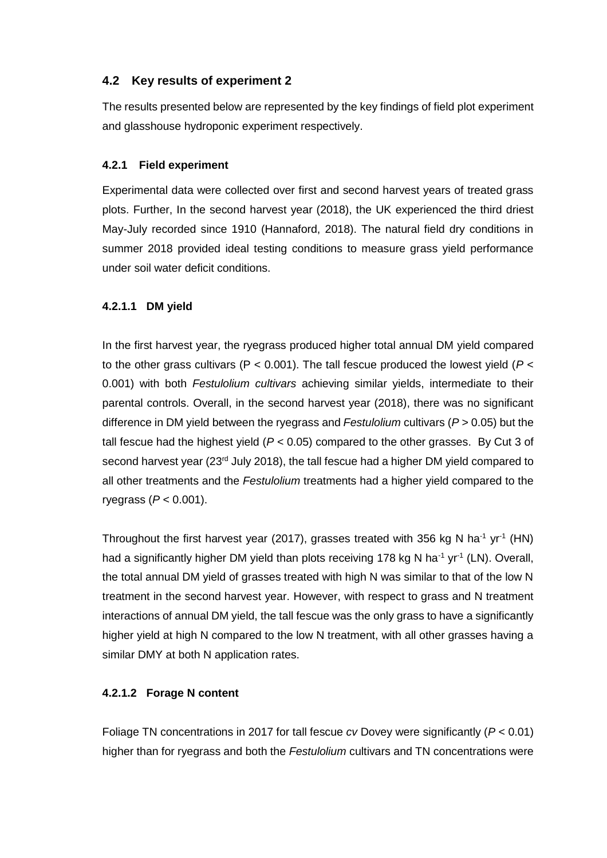## **4.2 Key results of experiment 2**

The results presented below are represented by the key findings of field plot experiment and glasshouse hydroponic experiment respectively.

### **4.2.1 Field experiment**

Experimental data were collected over first and second harvest years of treated grass plots. Further, In the second harvest year (2018), the UK experienced the third driest May-July recorded since 1910 (Hannaford, 2018). The natural field dry conditions in summer 2018 provided ideal testing conditions to measure grass yield performance under soil water deficit conditions.

### **4.2.1.1 DM yield**

In the first harvest year, the ryegrass produced higher total annual DM yield compared to the other grass cultivars (P < 0.001). The tall fescue produced the lowest yield (*P* < 0.001) with both *Festulolium cultivars* achieving similar yields, intermediate to their parental controls. Overall, in the second harvest year (2018), there was no significant difference in DM yield between the ryegrass and *Festulolium* cultivars (*P* > 0.05) but the tall fescue had the highest yield (*P* < 0.05) compared to the other grasses. By Cut 3 of second harvest year (23<sup>rd</sup> July 2018), the tall fescue had a higher DM yield compared to all other treatments and the *Festulolium* treatments had a higher yield compared to the ryegrass (*P* < 0.001).

Throughout the first harvest year (2017), grasses treated with 356 kg N ha<sup>-1</sup> yr<sup>-1</sup> (HN) had a significantly higher DM yield than plots receiving 178 kg N ha<sup>-1</sup> yr<sup>-1</sup> (LN). Overall, the total annual DM yield of grasses treated with high N was similar to that of the low N treatment in the second harvest year. However, with respect to grass and N treatment interactions of annual DM yield, the tall fescue was the only grass to have a significantly higher yield at high N compared to the low N treatment, with all other grasses having a similar DMY at both N application rates.

### **4.2.1.2 Forage N content**

Foliage TN concentrations in 2017 for tall fescue *cv* Dovey were significantly (*P* < 0.01) higher than for ryegrass and both the *Festulolium* cultivars and TN concentrations were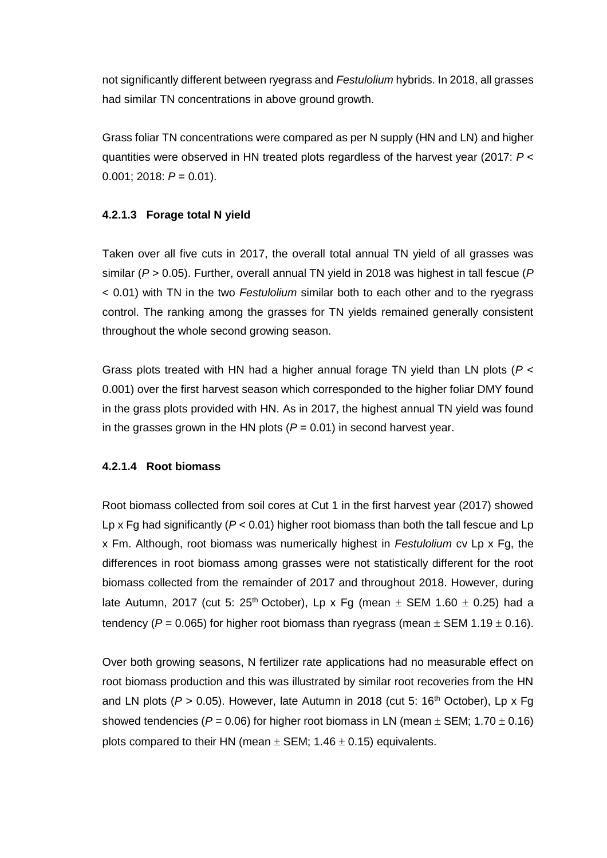not significantly different between ryegrass and *Festulolium* hybrids. In 2018, all grasses had similar TN concentrations in above ground growth.

Grass foliar TN concentrations were compared as per N supply (HN and LN) and higher quantities were observed in HN treated plots regardless of the harvest year (2017: *P* <  $0.001$ ; 2018:  $P = 0.01$ ).

#### **4.2.1.3 Forage total N yield**

Taken over all five cuts in 2017, the overall total annual TN yield of all grasses was similar (*P* > 0.05). Further, overall annual TN yield in 2018 was highest in tall fescue (*P* < 0.01) with TN in the two *Festulolium* similar both to each other and to the ryegrass control. The ranking among the grasses for TN yields remained generally consistent throughout the whole second growing season.

Grass plots treated with HN had a higher annual forage TN yield than LN plots (*P* < 0.001) over the first harvest season which corresponded to the higher foliar DMY found in the grass plots provided with HN. As in 2017, the highest annual TN yield was found in the grasses grown in the HN plots (*P* = 0.01) in second harvest year.

#### **4.2.1.4 Root biomass**

Root biomass collected from soil cores at Cut 1 in the first harvest year (2017) showed Lp x Fg had significantly (*P* < 0.01) higher root biomass than both the tall fescue and Lp x Fm. Although, root biomass was numerically highest in *Festulolium* cv Lp x Fg, the differences in root biomass among grasses were not statistically different for the root biomass collected from the remainder of 2017 and throughout 2018. However, during late Autumn, 2017 (cut 5:  $25<sup>th</sup>$  October), Lp x Fg (mean  $\pm$  SEM 1.60  $\pm$  0.25) had a tendency ( $P = 0.065$ ) for higher root biomass than ryegrass (mean  $\pm$  SEM 1.19  $\pm$  0.16).

Over both growing seasons, N fertilizer rate applications had no measurable effect on root biomass production and this was illustrated by similar root recoveries from the HN and LN plots ( $P > 0.05$ ). However, late Autumn in 2018 (cut 5: 16<sup>th</sup> October), Lp x Fq showed tendencies ( $P = 0.06$ ) for higher root biomass in LN (mean  $\pm$  SEM; 1.70  $\pm$  0.16) plots compared to their HN (mean  $\pm$  SEM; 1.46  $\pm$  0.15) equivalents.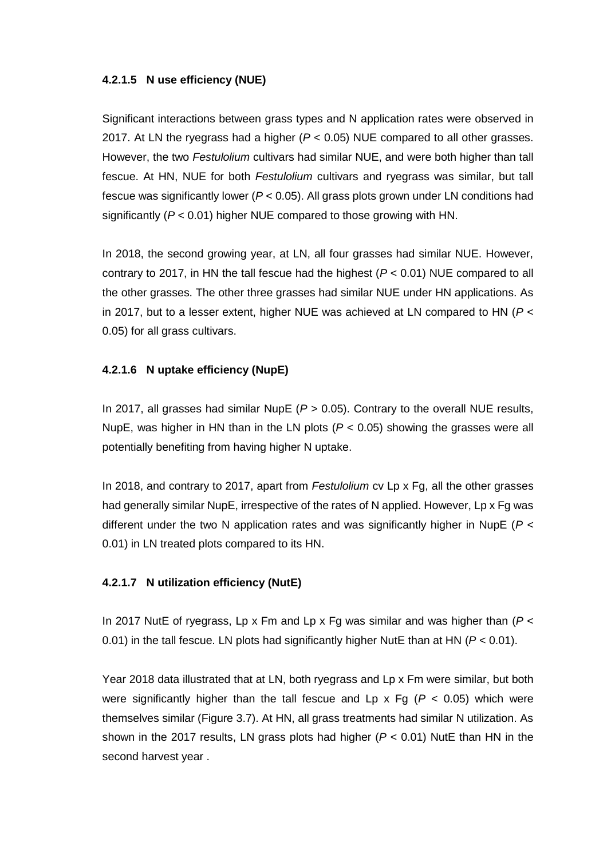#### **4.2.1.5 N use efficiency (NUE)**

Significant interactions between grass types and N application rates were observed in 2017. At LN the ryegrass had a higher (*P* < 0.05) NUE compared to all other grasses. However, the two *Festulolium* cultivars had similar NUE, and were both higher than tall fescue. At HN, NUE for both *Festulolium* cultivars and ryegrass was similar, but tall fescue was significantly lower (*P* < 0.05). All grass plots grown under LN conditions had significantly (*P* < 0.01) higher NUE compared to those growing with HN.

In 2018, the second growing year, at LN, all four grasses had similar NUE. However, contrary to 2017, in HN the tall fescue had the highest (*P* < 0.01) NUE compared to all the other grasses. The other three grasses had similar NUE under HN applications. As in 2017, but to a lesser extent, higher NUE was achieved at LN compared to HN (*P* < 0.05) for all grass cultivars.

#### **4.2.1.6 N uptake efficiency (NupE)**

In 2017, all grasses had similar NupE (*P* > 0.05). Contrary to the overall NUE results, NupE, was higher in HN than in the LN plots (*P* < 0.05) showing the grasses were all potentially benefiting from having higher N uptake.

In 2018, and contrary to 2017, apart from *Festulolium* cv Lp x Fg, all the other grasses had generally similar NupE, irrespective of the rates of N applied. However, Lp x Fg was different under the two N application rates and was significantly higher in NupE (*P* < 0.01) in LN treated plots compared to its HN.

#### **4.2.1.7 N utilization efficiency (NutE)**

In 2017 NutE of ryegrass, Lp x Fm and Lp x Fg was similar and was higher than (*P* < 0.01) in the tall fescue. LN plots had significantly higher NutE than at HN (*P* < 0.01).

Year 2018 data illustrated that at LN, both ryegrass and Lp x Fm were similar, but both were significantly higher than the tall fescue and Lp  $x$  Fg ( $P < 0.05$ ) which were themselves similar (Figure 3.7). At HN, all grass treatments had similar N utilization. As shown in the 2017 results, LN grass plots had higher (*P* < 0.01) NutE than HN in the second harvest year .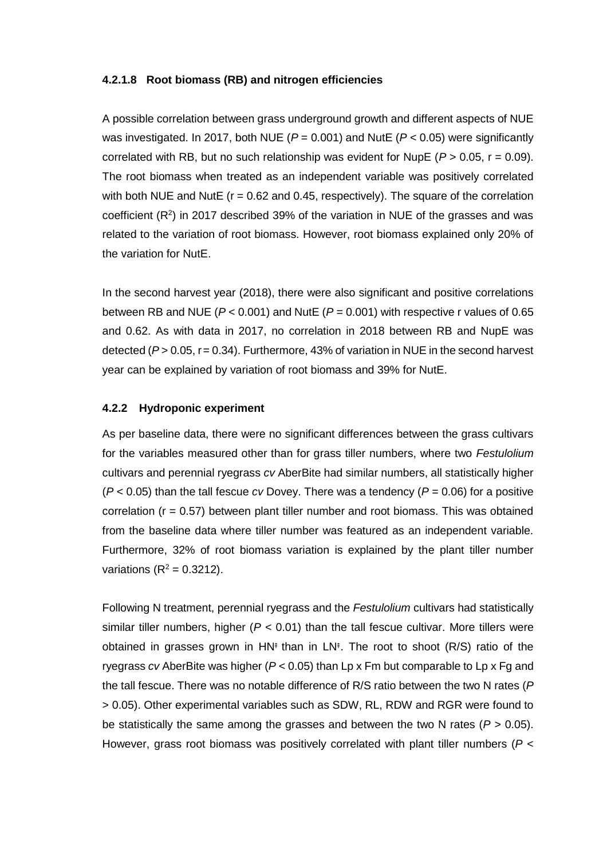#### **4.2.1.8 Root biomass (RB) and nitrogen efficiencies**

A possible correlation between grass underground growth and different aspects of NUE was investigated. In 2017, both NUE (*P* = 0.001) and NutE (*P* < 0.05) were significantly correlated with RB, but no such relationship was evident for NupE ( $P > 0.05$ ,  $r = 0.09$ ). The root biomass when treated as an independent variable was positively correlated with both NUE and NutE ( $r = 0.62$  and 0.45, respectively). The square of the correlation coefficient  $(R^2)$  in 2017 described 39% of the variation in NUE of the grasses and was related to the variation of root biomass. However, root biomass explained only 20% of the variation for NutE.

In the second harvest year (2018), there were also significant and positive correlations between RB and NUE (*P* < 0.001) and NutE (*P* = 0.001) with respective r values of 0.65 and 0.62. As with data in 2017, no correlation in 2018 between RB and NupE was detected (*P* > 0.05, r= 0.34). Furthermore, 43% of variation in NUE in the second harvest year can be explained by variation of root biomass and 39% for NutE.

#### **4.2.2 Hydroponic experiment**

As per baseline data, there were no significant differences between the grass cultivars for the variables measured other than for grass tiller numbers, where two *Festulolium*  cultivars and perennial ryegrass *cv* AberBite had similar numbers, all statistically higher (*P* < 0.05) than the tall fescue *cv* Dovey. There was a tendency (*P* = 0.06) for a positive correlation ( $r = 0.57$ ) between plant tiller number and root biomass. This was obtained from the baseline data where tiller number was featured as an independent variable. Furthermore, 32% of root biomass variation is explained by the plant tiller number variations ( $R^2$  = 0.3212).

Following N treatment, perennial ryegrass and the *Festulolium* cultivars had statistically similar tiller numbers, higher  $(P < 0.01)$  than the tall fescue cultivar. More tillers were obtained in grasses grown in HN‡ than in LN‡. The root to shoot (R/S) ratio of the ryegrass *cv* AberBite was higher (*P* < 0.05) than Lp x Fm but comparable to Lp x Fg and the tall fescue. There was no notable difference of R/S ratio between the two N rates (*P* > 0.05). Other experimental variables such as SDW, RL, RDW and RGR were found to be statistically the same among the grasses and between the two N rates (*P* > 0.05). However, grass root biomass was positively correlated with plant tiller numbers (*P* <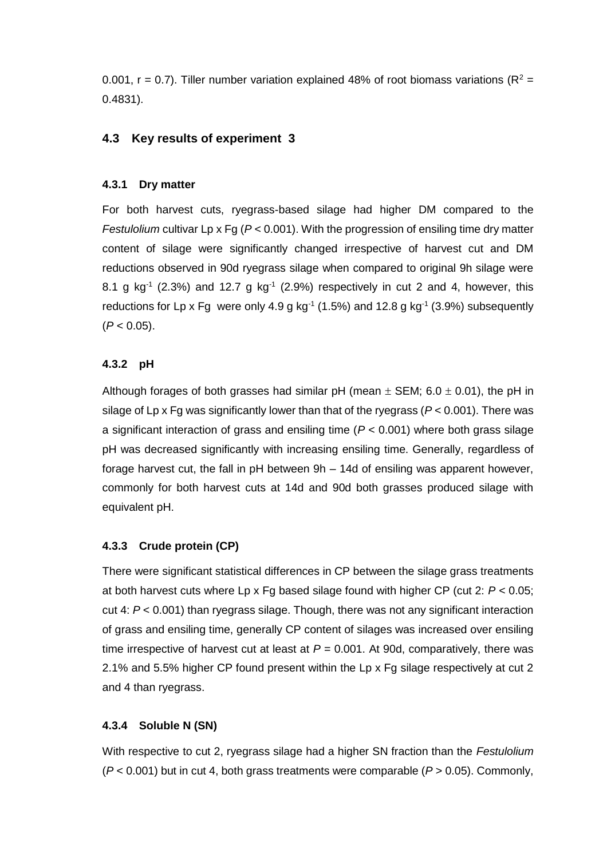0.001, r = 0.7). Tiller number variation explained 48% of root biomass variations ( $R^2$  = 0.4831).

#### **4.3 Key results of experiment 3**

#### **4.3.1 Dry matter**

For both harvest cuts, ryegrass-based silage had higher DM compared to the *Festulolium* cultivar Lp x Fg (*P* < 0.001). With the progression of ensiling time dry matter content of silage were significantly changed irrespective of harvest cut and DM reductions observed in 90d ryegrass silage when compared to original 9h silage were 8.1 g kg<sup>-1</sup> (2.3%) and 12.7 g kg<sup>-1</sup> (2.9%) respectively in cut 2 and 4, however, this reductions for Lp x Fg were only 4.9 g  $kg^{-1}$  (1.5%) and 12.8 g  $kg^{-1}$  (3.9%) subsequently  $(P < 0.05)$ .

#### **4.3.2 pH**

Although forages of both grasses had similar pH (mean  $\pm$  SEM; 6.0  $\pm$  0.01), the pH in silage of Lp x Fg was significantly lower than that of the ryegrass (*P* < 0.001). There was a significant interaction of grass and ensiling time (*P* < 0.001) where both grass silage pH was decreased significantly with increasing ensiling time. Generally, regardless of forage harvest cut, the fall in pH between 9h – 14d of ensiling was apparent however, commonly for both harvest cuts at 14d and 90d both grasses produced silage with equivalent pH.

#### **4.3.3 Crude protein (CP)**

There were significant statistical differences in CP between the silage grass treatments at both harvest cuts where Lp x Fg based silage found with higher CP (cut 2: *P* < 0.05; cut 4: *P* < 0.001) than ryegrass silage. Though, there was not any significant interaction of grass and ensiling time, generally CP content of silages was increased over ensiling time irrespective of harvest cut at least at  $P = 0.001$ . At 90d, comparatively, there was 2.1% and 5.5% higher CP found present within the Lp x Fg silage respectively at cut 2 and 4 than ryegrass.

#### **4.3.4 Soluble N (SN)**

With respective to cut 2, ryegrass silage had a higher SN fraction than the *Festulolium* (*P* < 0.001) but in cut 4, both grass treatments were comparable (*P* > 0.05). Commonly,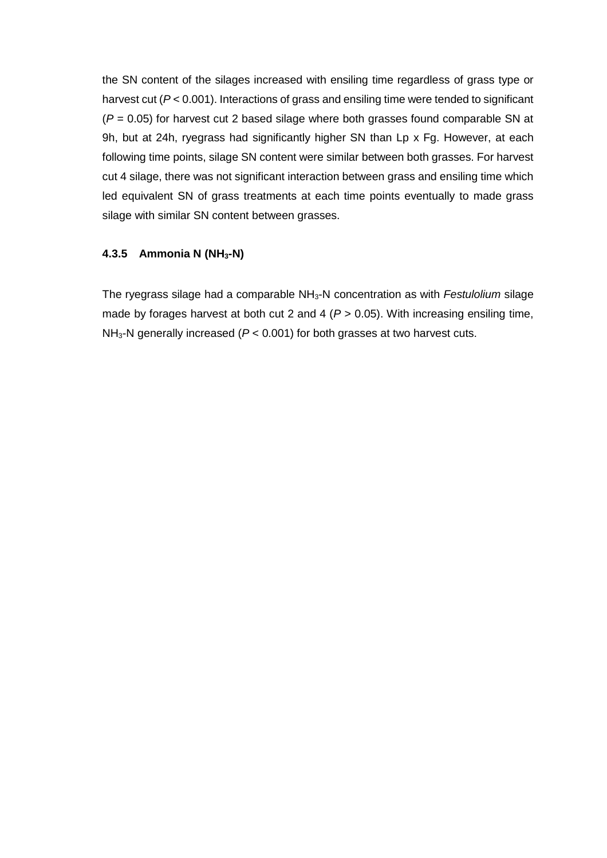the SN content of the silages increased with ensiling time regardless of grass type or harvest cut ( $P < 0.001$ ). Interactions of grass and ensiling time were tended to significant (*P* = 0.05) for harvest cut 2 based silage where both grasses found comparable SN at 9h, but at 24h, ryegrass had significantly higher SN than Lp x Fg. However, at each following time points, silage SN content were similar between both grasses. For harvest cut 4 silage, there was not significant interaction between grass and ensiling time which led equivalent SN of grass treatments at each time points eventually to made grass silage with similar SN content between grasses.

### **4.3.5 Ammonia N (NH3-N)**

The ryegrass silage had a comparable NH3-N concentration as with *Festulolium* silage made by forages harvest at both cut 2 and 4 ( $P > 0.05$ ). With increasing ensiling time, NH3-N generally increased (*P* < 0.001) for both grasses at two harvest cuts.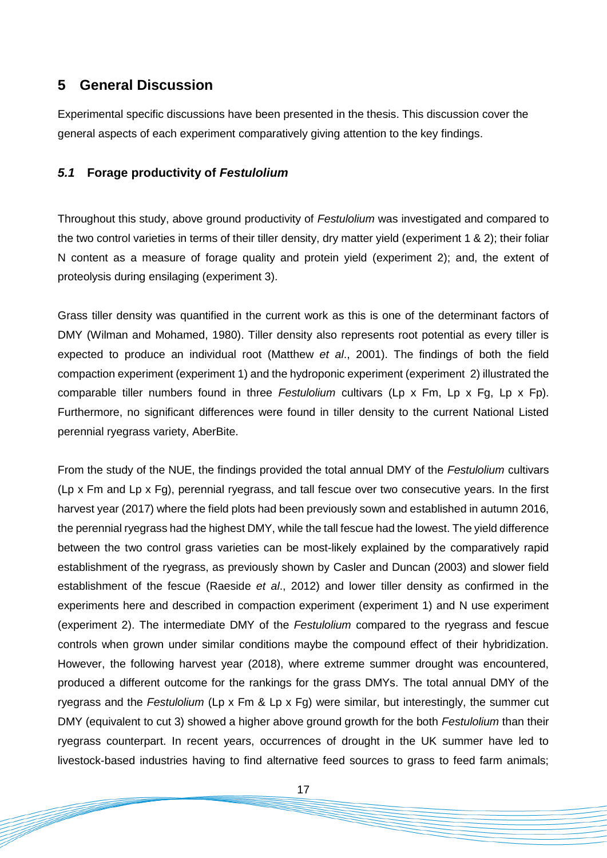# **5 General Discussion**

Experimental specific discussions have been presented in the thesis. This discussion cover the general aspects of each experiment comparatively giving attention to the key findings.

### *5.1* **Forage productivity of** *Festulolium*

Throughout this study, above ground productivity of *Festulolium* was investigated and compared to the two control varieties in terms of their tiller density, dry matter yield (experiment 1 & 2); their foliar N content as a measure of forage quality and protein yield (experiment 2); and, the extent of proteolysis during ensilaging (experiment 3).

Grass tiller density was quantified in the current work as this is one of the determinant factors of DMY (Wilman and Mohamed, 1980). Tiller density also represents root potential as every tiller is expected to produce an individual root (Matthew *et al*., 2001). The findings of both the field compaction experiment (experiment 1) and the hydroponic experiment (experiment 2) illustrated the comparable tiller numbers found in three *Festulolium* cultivars (Lp x Fm, Lp x Fg, Lp x Fp). Furthermore, no significant differences were found in tiller density to the current National Listed perennial ryegrass variety, AberBite.

From the study of the NUE, the findings provided the total annual DMY of the *Festulolium* cultivars (Lp x Fm and Lp x Fg), perennial ryegrass, and tall fescue over two consecutive years. In the first harvest year (2017) where the field plots had been previously sown and established in autumn 2016, the perennial ryegrass had the highest DMY, while the tall fescue had the lowest. The yield difference between the two control grass varieties can be most-likely explained by the comparatively rapid establishment of the ryegrass, as previously shown by Casler and Duncan (2003) and slower field establishment of the fescue (Raeside *et al*., 2012) and lower tiller density as confirmed in the experiments here and described in compaction experiment (experiment 1) and N use experiment (experiment 2). The intermediate DMY of the *Festulolium* compared to the ryegrass and fescue controls when grown under similar conditions maybe the compound effect of their hybridization. However, the following harvest year (2018), where extreme summer drought was encountered, produced a different outcome for the rankings for the grass DMYs. The total annual DMY of the ryegrass and the *Festulolium* (Lp x Fm & Lp x Fg) were similar, but interestingly, the summer cut DMY (equivalent to cut 3) showed a higher above ground growth for the both *Festulolium* than their ryegrass counterpart. In recent years, occurrences of drought in the UK summer have led to livestock-based industries having to find alternative feed sources to grass to feed farm animals;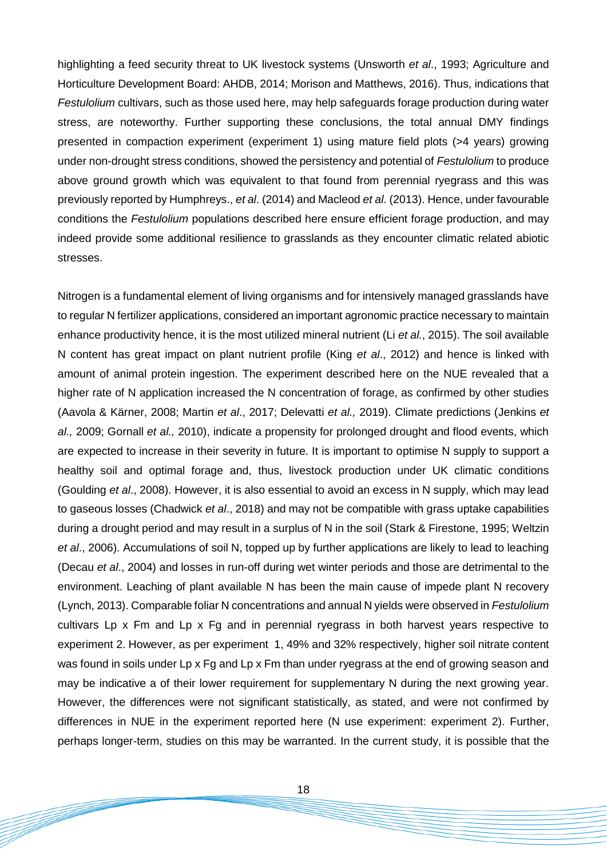highlighting a feed security threat to UK livestock systems (Unsworth *et al*., 1993; Agriculture and Horticulture Development Board: AHDB, 2014; Morison and Matthews, 2016). Thus, indications that *Festulolium* cultivars, such as those used here, may help safeguards forage production during water stress, are noteworthy. Further supporting these conclusions, the total annual DMY findings presented in compaction experiment (experiment 1) using mature field plots (>4 years) growing under non-drought stress conditions, showed the persistency and potential of *Festulolium* to produce above ground growth which was equivalent to that found from perennial ryegrass and this was previously reported by Humphreys., *et al*. (2014) and Macleod *et al*. (2013). Hence, under favourable conditions the *Festulolium* populations described here ensure efficient forage production, and may indeed provide some additional resilience to grasslands as they encounter climatic related abiotic stresses.

Nitrogen is a fundamental element of living organisms and for intensively managed grasslands have to regular N fertilizer applications, considered an important agronomic practice necessary to maintain enhance productivity hence, it is the most utilized mineral nutrient (Li *et al.*, 2015). The soil available N content has great impact on plant nutrient profile (King *et al*., 2012) and hence is linked with amount of animal protein ingestion. The experiment described here on the NUE revealed that a higher rate of N application increased the N concentration of forage, as confirmed by other studies (Aavola & Kärner, 2008; Martin *et al*., 2017; Delevatti *et al.,* 2019). Climate predictions (Jenkins *et al.,* 2009; Gornall *et al.,* 2010), indicate a propensity for prolonged drought and flood events, which are expected to increase in their severity in future. It is important to optimise N supply to support a healthy soil and optimal forage and, thus, livestock production under UK climatic conditions (Goulding *et al*., 2008). However, it is also essential to avoid an excess in N supply, which may lead to gaseous losses (Chadwick *et al*., 2018) and may not be compatible with grass uptake capabilities during a drought period and may result in a surplus of N in the soil (Stark & Firestone, 1995; Weltzin *et al*., 2006). Accumulations of soil N, topped up by further applications are likely to lead to leaching (Decau *et al*., 2004) and losses in run-off during wet winter periods and those are detrimental to the environment. Leaching of plant available N has been the main cause of impede plant N recovery (Lynch, 2013). Comparable foliar N concentrations and annual N yields were observed in *Festulolium* cultivars Lp x Fm and Lp x Fg and in perennial ryegrass in both harvest years respective to experiment 2. However, as per experiment 1, 49% and 32% respectively, higher soil nitrate content was found in soils under Lp x Fq and Lp x Fm than under ryegrass at the end of growing season and may be indicative a of their lower requirement for supplementary N during the next growing year. However, the differences were not significant statistically, as stated, and were not confirmed by differences in NUE in the experiment reported here (N use experiment: experiment 2). Further, perhaps longer-term, studies on this may be warranted. In the current study, it is possible that the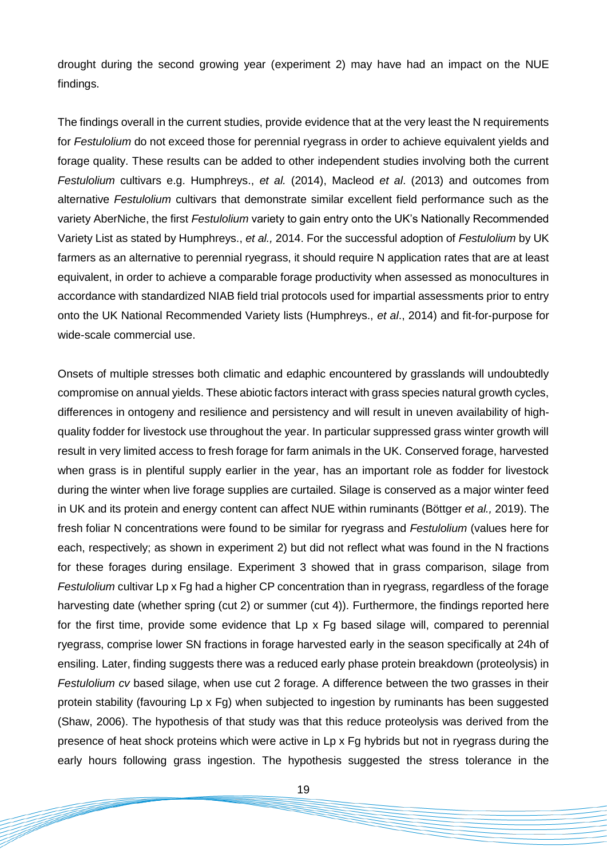drought during the second growing year (experiment 2) may have had an impact on the NUE findings.

The findings overall in the current studies, provide evidence that at the very least the N requirements for *Festulolium* do not exceed those for perennial ryegrass in order to achieve equivalent yields and forage quality. These results can be added to other independent studies involving both the current *Festulolium* cultivars e.g. Humphreys., *et al.* (2014), Macleod *et al*. (2013) and outcomes from alternative *Festulolium* cultivars that demonstrate similar excellent field performance such as the variety AberNiche, the first *Festulolium* variety to gain entry onto the UK's Nationally Recommended Variety List as stated by Humphreys., *et al.,* 2014. For the successful adoption of *Festulolium* by UK farmers as an alternative to perennial ryegrass, it should require N application rates that are at least equivalent, in order to achieve a comparable forage productivity when assessed as monocultures in accordance with standardized NIAB field trial protocols used for impartial assessments prior to entry onto the UK National Recommended Variety lists (Humphreys., *et al*., 2014) and fit-for-purpose for wide-scale commercial use.

Onsets of multiple stresses both climatic and edaphic encountered by grasslands will undoubtedly compromise on annual yields. These abiotic factors interact with grass species natural growth cycles, differences in ontogeny and resilience and persistency and will result in uneven availability of highquality fodder for livestock use throughout the year. In particular suppressed grass winter growth will result in very limited access to fresh forage for farm animals in the UK. Conserved forage, harvested when grass is in plentiful supply earlier in the year, has an important role as fodder for livestock during the winter when live forage supplies are curtailed. Silage is conserved as a major winter feed in UK and its protein and energy content can affect NUE within ruminants (Böttger *et al.,* 2019). The fresh foliar N concentrations were found to be similar for ryegrass and *Festulolium* (values here for each, respectively; as shown in experiment 2) but did not reflect what was found in the N fractions for these forages during ensilage. Experiment 3 showed that in grass comparison, silage from *Festulolium* cultivar Lp x Fg had a higher CP concentration than in ryegrass, regardless of the forage harvesting date (whether spring (cut 2) or summer (cut 4)). Furthermore, the findings reported here for the first time, provide some evidence that Lp x Fg based silage will, compared to perennial ryegrass, comprise lower SN fractions in forage harvested early in the season specifically at 24h of ensiling. Later, finding suggests there was a reduced early phase protein breakdown (proteolysis) in *Festulolium cv* based silage, when use cut 2 forage. A difference between the two grasses in their protein stability (favouring Lp x Fg) when subjected to ingestion by ruminants has been suggested (Shaw, 2006). The hypothesis of that study was that this reduce proteolysis was derived from the presence of heat shock proteins which were active in Lp x Fg hybrids but not in ryegrass during the early hours following grass ingestion. The hypothesis suggested the stress tolerance in the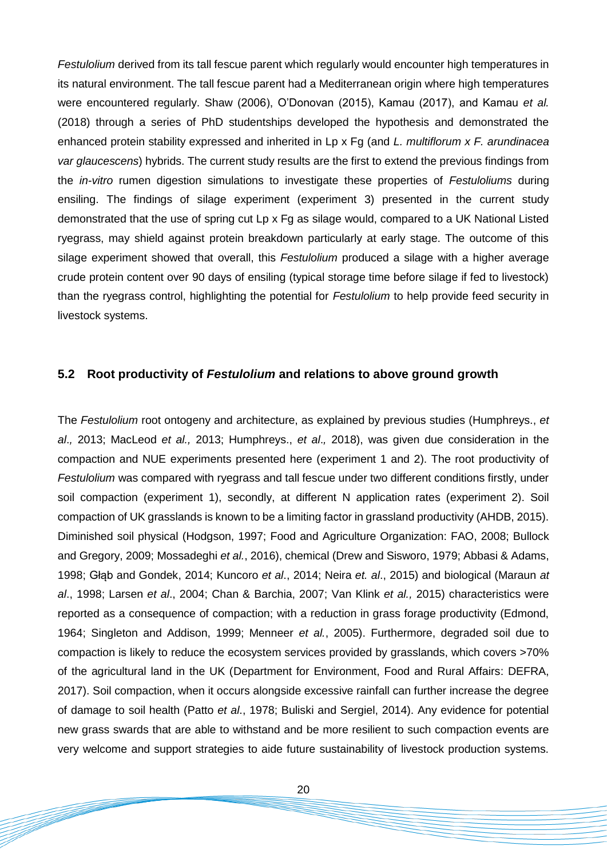*Festulolium* derived from its tall fescue parent which regularly would encounter high temperatures in its natural environment. The tall fescue parent had a Mediterranean origin where high temperatures were encountered regularly. Shaw (2006), O'Donovan (2015), Kamau (2017), and Kamau *et al.* (2018) through a series of PhD studentships developed the hypothesis and demonstrated the enhanced protein stability expressed and inherited in Lp x Fg (and *L. multiflorum x F. arundinacea var glaucescens*) hybrids. The current study results are the first to extend the previous findings from the *in-vitro* rumen digestion simulations to investigate these properties of *Festuloliums* during ensiling. The findings of silage experiment (experiment 3) presented in the current study demonstrated that the use of spring cut Lp x Fg as silage would, compared to a UK National Listed ryegrass, may shield against protein breakdown particularly at early stage. The outcome of this silage experiment showed that overall, this *Festulolium* produced a silage with a higher average crude protein content over 90 days of ensiling (typical storage time before silage if fed to livestock) than the ryegrass control, highlighting the potential for *Festulolium* to help provide feed security in livestock systems.

#### **5.2 Root productivity of** *Festulolium* **and relations to above ground growth**

The *Festulolium* root ontogeny and architecture, as explained by previous studies (Humphreys., *et al*.*,* 2013; MacLeod *et al.,* 2013; Humphreys., *et al*.*,* 2018), was given due consideration in the compaction and NUE experiments presented here (experiment 1 and 2). The root productivity of *Festulolium* was compared with ryegrass and tall fescue under two different conditions firstly, under soil compaction (experiment 1), secondly, at different N application rates (experiment 2). Soil compaction of UK grasslands is known to be a limiting factor in grassland productivity (AHDB, 2015). Diminished soil physical (Hodgson, 1997; Food and Agriculture Organization: FAO, 2008; Bullock and Gregory, 2009; Mossadeghi *et al.*, 2016), chemical (Drew and Sisworo, 1979; Abbasi & Adams, 1998; Głąb and Gondek, 2014; Kuncoro *et al*., 2014; Neira *et. al*., 2015) and biological (Maraun *at al*., 1998; Larsen *et al*., 2004; Chan & Barchia, 2007; Van Klink *et al.,* 2015) characteristics were reported as a consequence of compaction; with a reduction in grass forage productivity (Edmond, 1964; Singleton and Addison, 1999; Menneer *et al.*, 2005). Furthermore, degraded soil due to compaction is likely to reduce the ecosystem services provided by grasslands, which covers >70% of the agricultural land in the UK (Department for Environment, Food and Rural Affairs: DEFRA, 2017). Soil compaction, when it occurs alongside excessive rainfall can further increase the degree of damage to soil health (Patto *et al*., 1978; Buliski and Sergiel, 2014). Any evidence for potential new grass swards that are able to withstand and be more resilient to such compaction events are very welcome and support strategies to aide future sustainability of livestock production systems.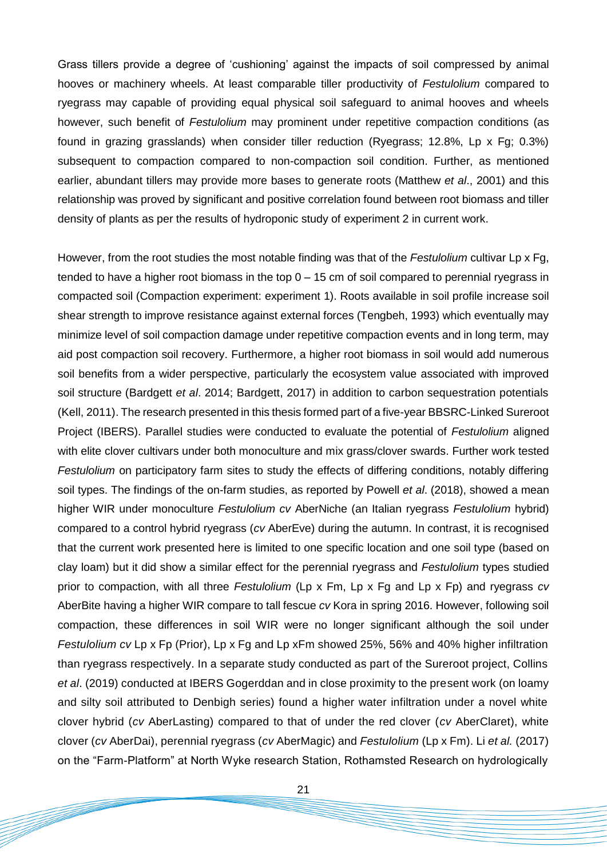Grass tillers provide a degree of 'cushioning' against the impacts of soil compressed by animal hooves or machinery wheels. At least comparable tiller productivity of *Festulolium* compared to ryegrass may capable of providing equal physical soil safeguard to animal hooves and wheels however, such benefit of *Festulolium* may prominent under repetitive compaction conditions (as found in grazing grasslands) when consider tiller reduction (Ryegrass; 12.8%, Lp x Fg; 0.3%) subsequent to compaction compared to non-compaction soil condition. Further, as mentioned earlier, abundant tillers may provide more bases to generate roots (Matthew *et al*., 2001) and this relationship was proved by significant and positive correlation found between root biomass and tiller density of plants as per the results of hydroponic study of experiment 2 in current work.

However, from the root studies the most notable finding was that of the *Festulolium* cultivar Lp x Fg, tended to have a higher root biomass in the top 0 – 15 cm of soil compared to perennial ryegrass in compacted soil (Compaction experiment: experiment 1). Roots available in soil profile increase soil shear strength to improve resistance against external forces (Tengbeh, 1993) which eventually may minimize level of soil compaction damage under repetitive compaction events and in long term, may aid post compaction soil recovery. Furthermore, a higher root biomass in soil would add numerous soil benefits from a wider perspective, particularly the ecosystem value associated with improved soil structure (Bardgett *et al*. 2014; Bardgett, 2017) in addition to carbon sequestration potentials (Kell, 2011). The research presented in this thesis formed part of a five-year BBSRC-Linked Sureroot Project (IBERS). Parallel studies were conducted to evaluate the potential of *Festulolium* aligned with elite clover cultivars under both monoculture and mix grass/clover swards. Further work tested *Festulolium* on participatory farm sites to study the effects of differing conditions, notably differing soil types. The findings of the on-farm studies, as reported by Powell *et al*. (2018), showed a mean higher WIR under monoculture *Festulolium cv* AberNiche (an Italian ryegrass *Festulolium* hybrid) compared to a control hybrid ryegrass (*cv* AberEve) during the autumn. In contrast, it is recognised that the current work presented here is limited to one specific location and one soil type (based on clay loam) but it did show a similar effect for the perennial ryegrass and *Festulolium* types studied prior to compaction, with all three *Festulolium* (Lp x Fm, Lp x Fg and Lp x Fp) and ryegrass *cv*  AberBite having a higher WIR compare to tall fescue *cv* Kora in spring 2016. However, following soil compaction, these differences in soil WIR were no longer significant although the soil under *Festulolium cv* Lp x Fp (Prior), Lp x Fg and Lp xFm showed 25%, 56% and 40% higher infiltration than ryegrass respectively. In a separate study conducted as part of the Sureroot project, Collins *et al*. (2019) conducted at IBERS Gogerddan and in close proximity to the present work (on loamy and silty soil attributed to Denbigh series) found a higher water infiltration under a novel white clover hybrid (*cv* AberLasting) compared to that of under the red clover (*cv* AberClaret), white clover (*cv* AberDai), perennial ryegrass (*cv* AberMagic) and *Festulolium* (Lp x Fm). Li *et al.* (2017) on the "Farm-Platform" at North Wyke research Station, Rothamsted Research on hydrologically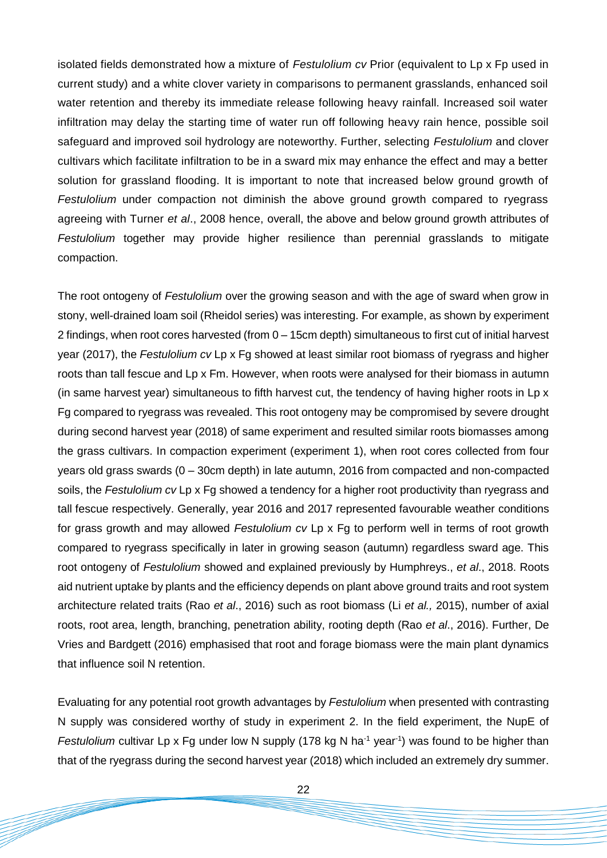isolated fields demonstrated how a mixture of *Festulolium cv* Prior (equivalent to Lp x Fp used in current study) and a white clover variety in comparisons to permanent grasslands, enhanced soil water retention and thereby its immediate release following heavy rainfall. Increased soil water infiltration may delay the starting time of water run off following heavy rain hence, possible soil safeguard and improved soil hydrology are noteworthy. Further, selecting *Festulolium* and clover cultivars which facilitate infiltration to be in a sward mix may enhance the effect and may a better solution for grassland flooding. It is important to note that increased below ground growth of *Festulolium* under compaction not diminish the above ground growth compared to ryegrass agreeing with Turner *et al*., 2008 hence, overall, the above and below ground growth attributes of *Festulolium* together may provide higher resilience than perennial grasslands to mitigate compaction.

The root ontogeny of *Festulolium* over the growing season and with the age of sward when grow in stony, well-drained loam soil (Rheidol series) was interesting. For example, as shown by experiment 2 findings, when root cores harvested (from 0 – 15cm depth) simultaneous to first cut of initial harvest year (2017), the *Festulolium cv* Lp x Fg showed at least similar root biomass of ryegrass and higher roots than tall fescue and Lp x Fm. However, when roots were analysed for their biomass in autumn (in same harvest year) simultaneous to fifth harvest cut, the tendency of having higher roots in Lp x Fg compared to ryegrass was revealed. This root ontogeny may be compromised by severe drought during second harvest year (2018) of same experiment and resulted similar roots biomasses among the grass cultivars. In compaction experiment (experiment 1), when root cores collected from four years old grass swards (0 – 30cm depth) in late autumn, 2016 from compacted and non-compacted soils, the *Festulolium cv* Lp x Fg showed a tendency for a higher root productivity than ryegrass and tall fescue respectively. Generally, year 2016 and 2017 represented favourable weather conditions for grass growth and may allowed *Festulolium cv* Lp x Fg to perform well in terms of root growth compared to ryegrass specifically in later in growing season (autumn) regardless sward age. This root ontogeny of *Festulolium* showed and explained previously by Humphreys., *et al*., 2018. Roots aid nutrient uptake by plants and the efficiency depends on plant above ground traits and root system architecture related traits (Rao *et al*., 2016) such as root biomass (Li *et al.,* 2015), number of axial roots, root area, length, branching, penetration ability, rooting depth (Rao *et al*., 2016). Further, De Vries and Bardgett (2016) emphasised that root and forage biomass were the main plant dynamics that influence soil N retention.

Evaluating for any potential root growth advantages by *Festulolium* when presented with contrasting N supply was considered worthy of study in experiment 2. In the field experiment, the NupE of Festulolium cultivar Lp x Fg under low N supply (178 kg N ha<sup>-1</sup> year<sup>-1</sup>) was found to be higher than that of the ryegrass during the second harvest year (2018) which included an extremely dry summer.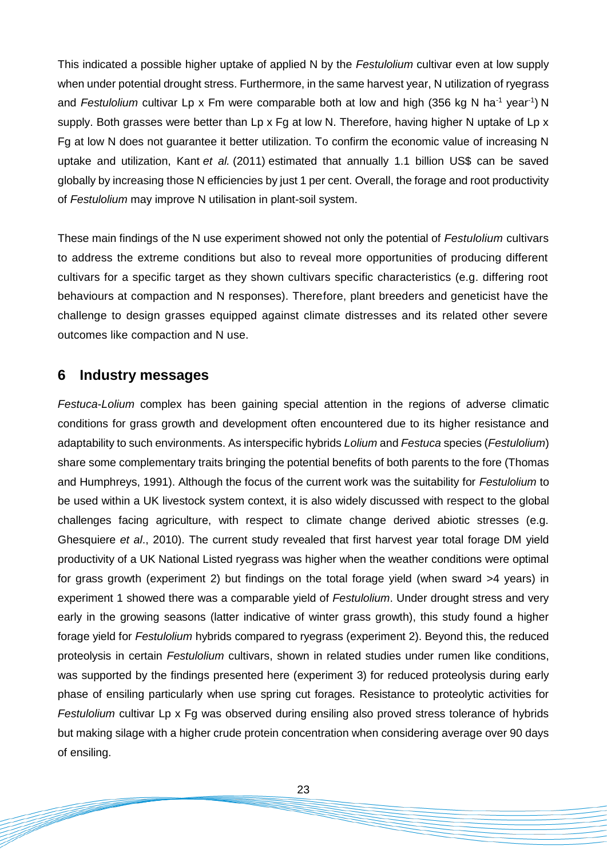This indicated a possible higher uptake of applied N by the *Festulolium* cultivar even at low supply when under potential drought stress. Furthermore, in the same harvest year, N utilization of ryegrass and Festulolium cultivar Lp x Fm were comparable both at low and high (356 kg N ha<sup>-1</sup> year<sup>-1</sup>) N supply. Both grasses were better than Lp x Fg at low N. Therefore, having higher N uptake of Lp x Fg at low N does not guarantee it better utilization. To confirm the economic value of increasing N uptake and utilization, Kant *et al.* (2011) estimated that annually 1.1 billion US\$ can be saved globally by increasing those N efficiencies by just 1 per cent. Overall, the forage and root productivity of *Festulolium* may improve N utilisation in plant-soil system.

These main findings of the N use experiment showed not only the potential of *Festulolium* cultivars to address the extreme conditions but also to reveal more opportunities of producing different cultivars for a specific target as they shown cultivars specific characteristics (e.g. differing root behaviours at compaction and N responses). Therefore, plant breeders and geneticist have the challenge to design grasses equipped against climate distresses and its related other severe outcomes like compaction and N use.

### **6 Industry messages**

*Festuca*-*Lolium* complex has been gaining special attention in the regions of adverse climatic conditions for grass growth and development often encountered due to its higher resistance and adaptability to such environments. As interspecific hybrids *Lolium* and *Festuca* species (*Festulolium*) share some complementary traits bringing the potential benefits of both parents to the fore (Thomas and Humphreys, 1991). Although the focus of the current work was the suitability for *Festulolium* to be used within a UK livestock system context, it is also widely discussed with respect to the global challenges facing agriculture, with respect to climate change derived abiotic stresses (e.g. Ghesquiere *et al*., 2010). The current study revealed that first harvest year total forage DM yield productivity of a UK National Listed ryegrass was higher when the weather conditions were optimal for grass growth (experiment 2) but findings on the total forage yield (when sward >4 years) in experiment 1 showed there was a comparable yield of *Festulolium*. Under drought stress and very early in the growing seasons (latter indicative of winter grass growth), this study found a higher forage yield for *Festulolium* hybrids compared to ryegrass (experiment 2). Beyond this, the reduced proteolysis in certain *Festulolium* cultivars, shown in related studies under rumen like conditions, was supported by the findings presented here (experiment 3) for reduced proteolysis during early phase of ensiling particularly when use spring cut forages. Resistance to proteolytic activities for *Festulolium* cultivar Lp x Fg was observed during ensiling also proved stress tolerance of hybrids but making silage with a higher crude protein concentration when considering average over 90 days of ensiling.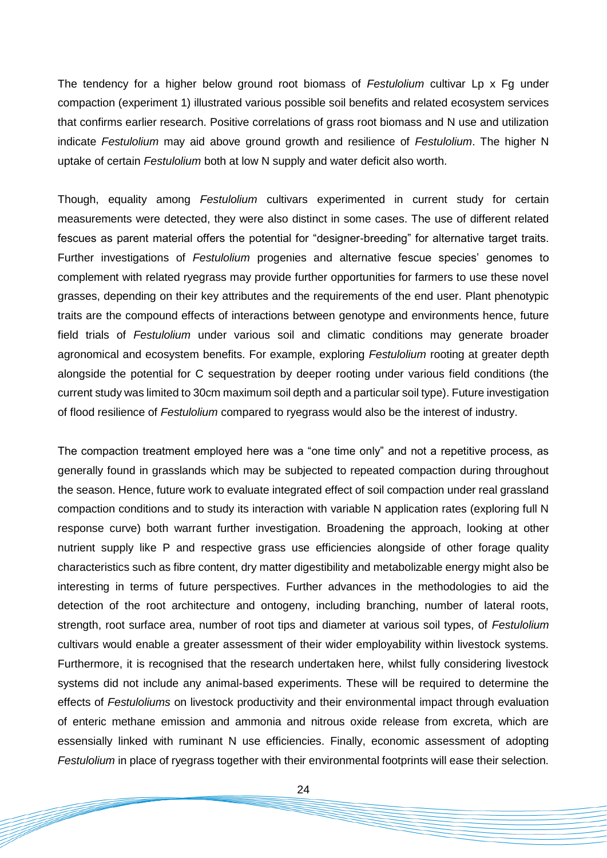The tendency for a higher below ground root biomass of *Festulolium* cultivar Lp x Fg under compaction (experiment 1) illustrated various possible soil benefits and related ecosystem services that confirms earlier research. Positive correlations of grass root biomass and N use and utilization indicate *Festulolium* may aid above ground growth and resilience of *Festulolium*. The higher N uptake of certain *Festulolium* both at low N supply and water deficit also worth.

Though, equality among *Festulolium* cultivars experimented in current study for certain measurements were detected, they were also distinct in some cases. The use of different related fescues as parent material offers the potential for "designer-breeding" for alternative target traits. Further investigations of *Festulolium* progenies and alternative fescue species' genomes to complement with related ryegrass may provide further opportunities for farmers to use these novel grasses, depending on their key attributes and the requirements of the end user. Plant phenotypic traits are the compound effects of interactions between genotype and environments hence, future field trials of *Festulolium* under various soil and climatic conditions may generate broader agronomical and ecosystem benefits. For example, exploring *Festulolium* rooting at greater depth alongside the potential for C sequestration by deeper rooting under various field conditions (the current study was limited to 30cm maximum soil depth and a particular soil type). Future investigation of flood resilience of *Festulolium* compared to ryegrass would also be the interest of industry.

The compaction treatment employed here was a "one time only" and not a repetitive process, as generally found in grasslands which may be subjected to repeated compaction during throughout the season. Hence, future work to evaluate integrated effect of soil compaction under real grassland compaction conditions and to study its interaction with variable N application rates (exploring full N response curve) both warrant further investigation. Broadening the approach, looking at other nutrient supply like P and respective grass use efficiencies alongside of other forage quality characteristics such as fibre content, dry matter digestibility and metabolizable energy might also be interesting in terms of future perspectives. Further advances in the methodologies to aid the detection of the root architecture and ontogeny, including branching, number of lateral roots, strength, root surface area, number of root tips and diameter at various soil types, of *Festulolium* cultivars would enable a greater assessment of their wider employability within livestock systems. Furthermore, it is recognised that the research undertaken here, whilst fully considering livestock systems did not include any animal-based experiments. These will be required to determine the effects of *Festuloliums* on livestock productivity and their environmental impact through evaluation of enteric methane emission and ammonia and nitrous oxide release from excreta, which are essensially linked with ruminant N use efficiencies. Finally, economic assessment of adopting *Festulolium* in place of ryegrass together with their environmental footprints will ease their selection.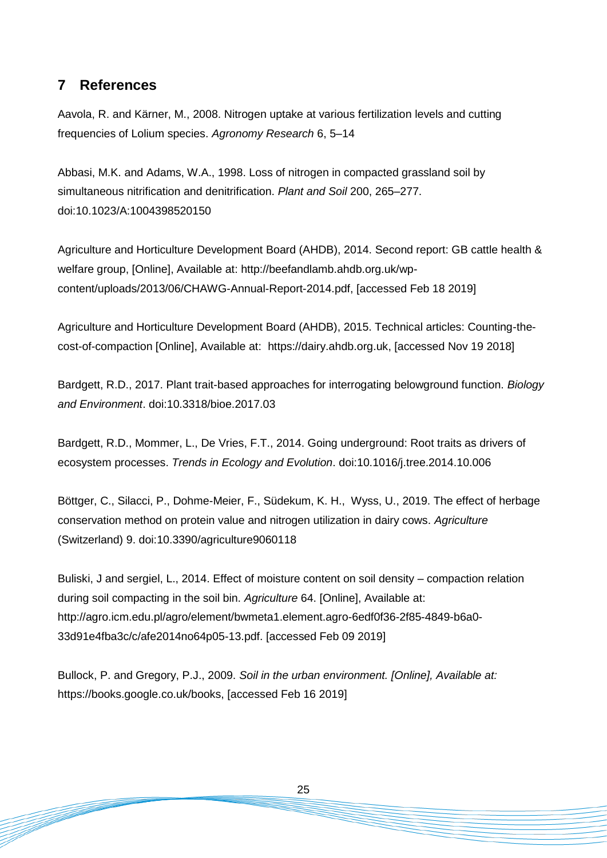# **7 References**

Aavola, R. and Kärner, M., 2008. Nitrogen uptake at various fertilization levels and cutting frequencies of Lolium species. *Agronomy Research* 6, 5–14

Abbasi, M.K. and Adams, W.A., 1998. Loss of nitrogen in compacted grassland soil by simultaneous nitrification and denitrification. *Plant and Soil* 200, 265–277. doi:10.1023/A:1004398520150

Agriculture and Horticulture Development Board (AHDB), 2014. Second report: GB cattle health & welfare group, [Online], Available at: http://beefandlamb.ahdb.org.uk/wpcontent/uploads/2013/06/CHAWG-Annual-Report-2014.pdf, [accessed Feb 18 2019]

Agriculture and Horticulture Development Board (AHDB), 2015. Technical articles: Counting-thecost-of-compaction [Online], Available at: https://dairy.ahdb.org.uk, [accessed Nov 19 2018]

Bardgett, R.D., 2017. Plant trait-based approaches for interrogating belowground function. *Biology and Environment*. doi:10.3318/bioe.2017.03

Bardgett, R.D., Mommer, L., De Vries, F.T., 2014. Going underground: Root traits as drivers of ecosystem processes. *Trends in Ecology and Evolution*. doi:10.1016/j.tree.2014.10.006

Böttger, C., Silacci, P., Dohme-Meier, F., Südekum, K. H., Wyss, U., 2019. The effect of herbage conservation method on protein value and nitrogen utilization in dairy cows. *Agriculture* (Switzerland) 9. doi:10.3390/agriculture9060118

Buliski, J and sergiel, L., 2014. Effect of moisture content on soil density – compaction relation during soil compacting in the soil bin. *Agriculture* 64. [Online], Available at: http://agro.icm.edu.pl/agro/element/bwmeta1.element.agro-6edf0f36-2f85-4849-b6a0- 33d91e4fba3c/c/afe2014no64p05-13.pdf. [accessed Feb 09 2019]

Bullock, P. and Gregory, P.J., 2009. *Soil in the urban environment. [Online], Available at:* https://books.google.co.uk/books, [accessed Feb 16 2019]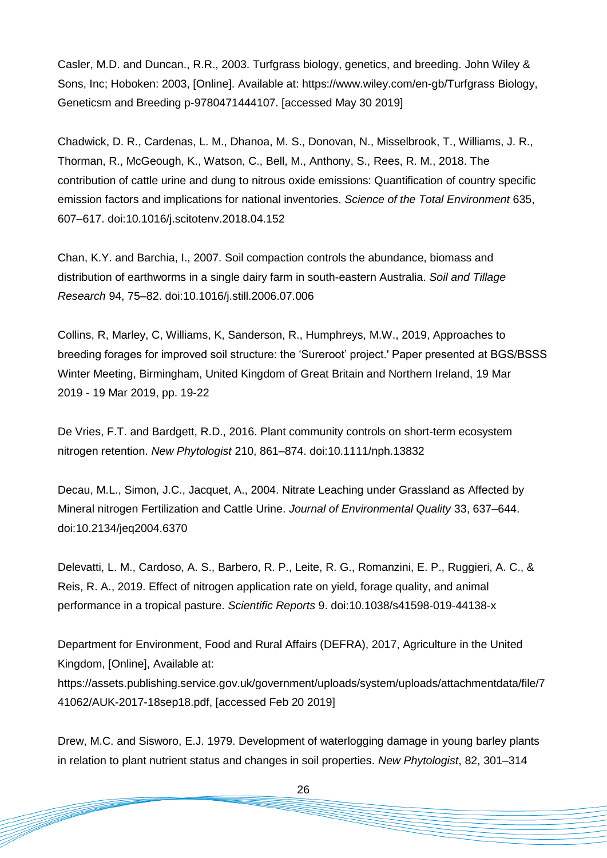Casler, M.D. and Duncan., R.R., 2003. Turfgrass biology, genetics, and breeding. John Wiley & Sons, Inc; Hoboken: 2003, [Online]. Available at: https://www.wiley.com/en-gb/Turfgrass Biology, Geneticsm and Breeding p-9780471444107. [accessed May 30 2019]

Chadwick, D. R., Cardenas, L. M., Dhanoa, M. S., Donovan, N., Misselbrook, T., Williams, J. R., Thorman, R., McGeough, K., Watson, C., Bell, M., Anthony, S., Rees, R. M., 2018. The contribution of cattle urine and dung to nitrous oxide emissions: Quantification of country specific emission factors and implications for national inventories. *Science of the Total Environment* 635, 607–617. doi:10.1016/j.scitotenv.2018.04.152

Chan, K.Y. and Barchia, I., 2007. Soil compaction controls the abundance, biomass and distribution of earthworms in a single dairy farm in south-eastern Australia. *Soil and Tillage Research* 94, 75–82. doi:10.1016/j.still.2006.07.006

Collins, R, Marley, C, Williams, K, Sanderson, R., Humphreys, M.W., 2019, Approaches to breeding forages for improved soil structure: the 'Sureroot' project.' Paper presented at BGS/BSSS Winter Meeting, Birmingham, United Kingdom of Great Britain and Northern Ireland, 19 Mar 2019 - 19 Mar 2019, pp. 19-22

De Vries, F.T. and Bardgett, R.D., 2016. Plant community controls on short-term ecosystem nitrogen retention. *New Phytologist* 210, 861–874. doi:10.1111/nph.13832

Decau, M.L., Simon, J.C., Jacquet, A., 2004. Nitrate Leaching under Grassland as Affected by Mineral nitrogen Fertilization and Cattle Urine. *Journal of Environmental Quality* 33, 637–644. doi:10.2134/jeq2004.6370

Delevatti, L. M., Cardoso, A. S., Barbero, R. P., Leite, R. G., Romanzini, E. P., Ruggieri, A. C., & Reis, R. A., 2019. Effect of nitrogen application rate on yield, forage quality, and animal performance in a tropical pasture. *Scientific Reports* 9. doi:10.1038/s41598-019-44138-x

Department for Environment, Food and Rural Affairs (DEFRA), 2017, Agriculture in the United Kingdom, [Online], Available at: https://assets.publishing.service.gov.uk/government/uploads/system/uploads/attachmentdata/file/7 41062/AUK-2017-18sep18.pdf, [accessed Feb 20 2019]

Drew, M.C. and Sisworo, E.J. 1979. Development of waterlogging damage in young barley plants in relation to plant nutrient status and changes in soil properties. *New Phytologist*, 82, 301–314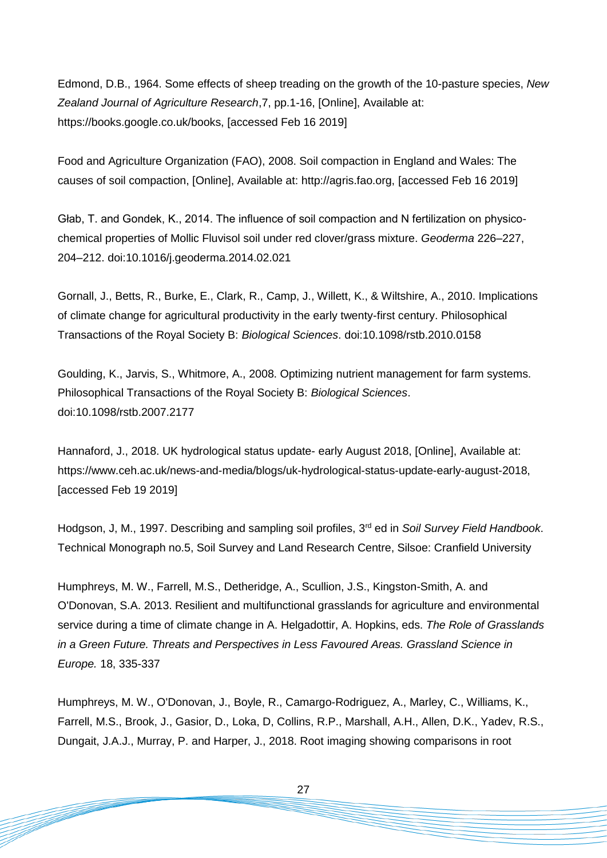Edmond, D.B., 1964. Some effects of sheep treading on the growth of the 10-pasture species, *New Zealand Journal of Agriculture Research*,7, pp.1-16, [Online], Available at: https://books.google.co.uk/books, [accessed Feb 16 2019]

Food and Agriculture Organization (FAO), 2008. Soil compaction in England and Wales: The causes of soil compaction, [Online], Available at: http://agris.fao.org, [accessed Feb 16 2019]

Głab, T. and Gondek, K., 2014. The influence of soil compaction and N fertilization on physicochemical properties of Mollic Fluvisol soil under red clover/grass mixture. *Geoderma* 226–227, 204–212. doi:10.1016/j.geoderma.2014.02.021

Gornall, J., Betts, R., Burke, E., Clark, R., Camp, J., Willett, K., & Wiltshire, A., 2010. Implications of climate change for agricultural productivity in the early twenty-first century. Philosophical Transactions of the Royal Society B: *Biological Sciences*. doi:10.1098/rstb.2010.0158

Goulding, K., Jarvis, S., Whitmore, A., 2008. Optimizing nutrient management for farm systems. Philosophical Transactions of the Royal Society B: *Biological Sciences*. doi:10.1098/rstb.2007.2177

Hannaford, J., 2018. UK hydrological status update- early August 2018, [Online], Available at: https://www.ceh.ac.uk/news-and-media/blogs/uk-hydrological-status-update-early-august-2018, [accessed Feb 19 2019]

Hodgson, J, M., 1997. Describing and sampling soil profiles, 3rd ed in *Soil Survey Field Handbook*. Technical Monograph no.5, Soil Survey and Land Research Centre, Silsoe: Cranfield University

Humphreys, M. W., Farrell, M.S., Detheridge, A., Scullion, J.S., Kingston-Smith, A. and O'Donovan, S.A. 2013. Resilient and multifunctional grasslands for agriculture and environmental service during a time of climate change in A. Helgadottir, A. Hopkins, eds. *The Role of Grasslands in a Green Future. Threats and Perspectives in Less Favoured Areas. Grassland Science in Europe.* 18, 335-337

Humphreys, M. W., O'Donovan, J., Boyle, R., Camargo-Rodriguez, A., Marley, C., Williams, K., Farrell, M.S., Brook, J., Gasior, D., Loka, D, Collins, R.P., Marshall, A.H., Allen, D.K., Yadev, R.S., Dungait, J.A.J., Murray, P. and Harper, J., 2018. Root imaging showing comparisons in root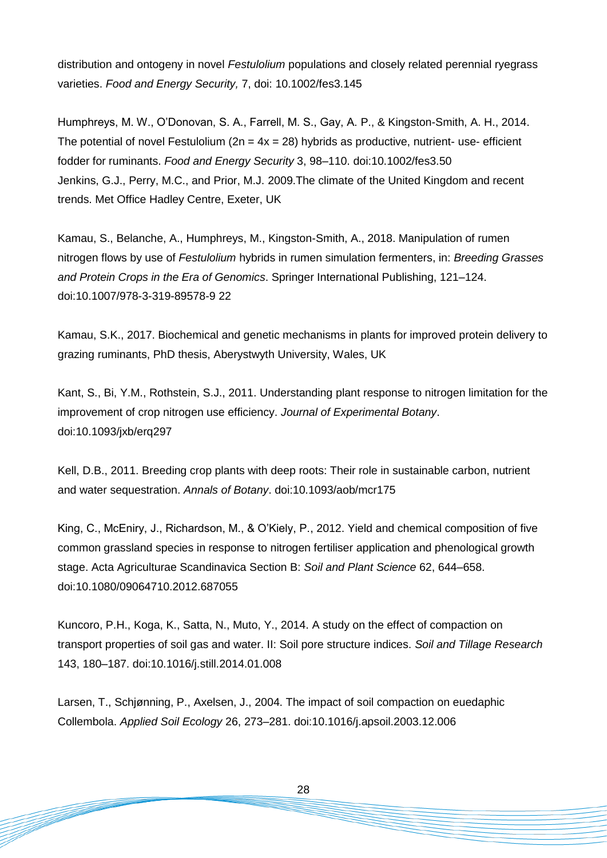distribution and ontogeny in novel *Festulolium* populations and closely related perennial ryegrass varieties. *Food and Energy Security,* 7, doi: 10.1002/fes3.145

Humphreys, M. W., O'Donovan, S. A., Farrell, M. S., Gay, A. P., & Kingston-Smith, A. H., 2014. The potential of novel Festulolium  $(2n = 4x = 28)$  hybrids as productive, nutrient- use- efficient fodder for ruminants. *Food and Energy Security* 3, 98–110. doi:10.1002/fes3.50 Jenkins, G.J., Perry, M.C., and Prior, M.J. 2009.The climate of the United Kingdom and recent trends. Met Office Hadley Centre, Exeter, UK

Kamau, S., Belanche, A., Humphreys, M., Kingston-Smith, A., 2018. Manipulation of rumen nitrogen flows by use of *Festulolium* hybrids in rumen simulation fermenters, in: *Breeding Grasses and Protein Crops in the Era of Genomics*. Springer International Publishing, 121–124. doi:10.1007/978-3-319-89578-9 22

Kamau, S.K., 2017. Biochemical and genetic mechanisms in plants for improved protein delivery to grazing ruminants, PhD thesis, Aberystwyth University, Wales, UK

Kant, S., Bi, Y.M., Rothstein, S.J., 2011. Understanding plant response to nitrogen limitation for the improvement of crop nitrogen use efficiency. *Journal of Experimental Botany*. doi:10.1093/jxb/erq297

Kell, D.B., 2011. Breeding crop plants with deep roots: Their role in sustainable carbon, nutrient and water sequestration. *Annals of Botany*. doi:10.1093/aob/mcr175

King, C., McEniry, J., Richardson, M., & O'Kiely, P., 2012. Yield and chemical composition of five common grassland species in response to nitrogen fertiliser application and phenological growth stage. Acta Agriculturae Scandinavica Section B: *Soil and Plant Science* 62, 644–658. doi:10.1080/09064710.2012.687055

Kuncoro, P.H., Koga, K., Satta, N., Muto, Y., 2014. A study on the effect of compaction on transport properties of soil gas and water. II: Soil pore structure indices. *Soil and Tillage Research* 143, 180–187. doi:10.1016/j.still.2014.01.008

Larsen, T., Schjønning, P., Axelsen, J., 2004. The impact of soil compaction on euedaphic Collembola. *Applied Soil Ecology* 26, 273–281. doi:10.1016/j.apsoil.2003.12.006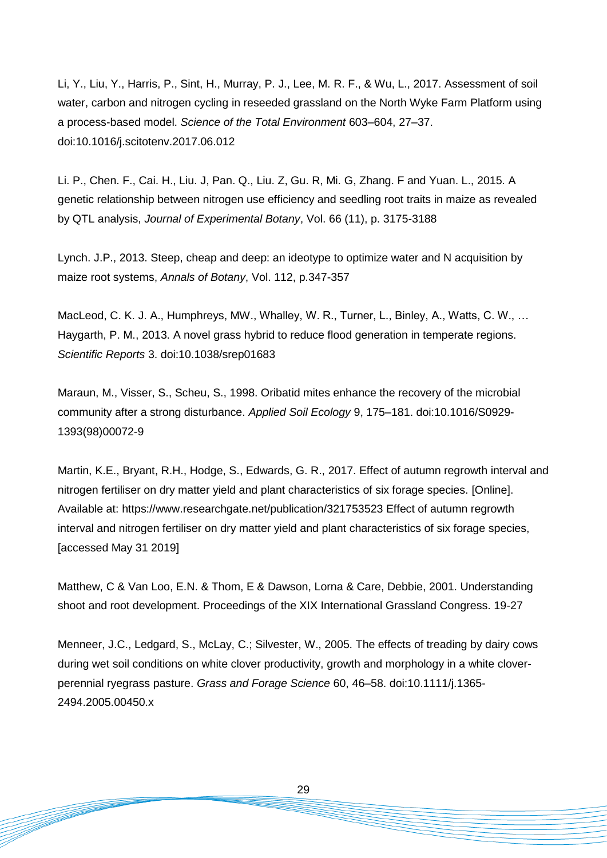Li, Y., Liu, Y., Harris, P., Sint, H., Murray, P. J., Lee, M. R. F., & Wu, L., 2017. Assessment of soil water, carbon and nitrogen cycling in reseeded grassland on the North Wyke Farm Platform using a process-based model. *Science of the Total Environment* 603–604, 27–37. doi:10.1016/j.scitotenv.2017.06.012

Li. P., Chen. F., Cai. H., Liu. J, Pan. Q., Liu. Z, Gu. R, Mi. G, Zhang. F and Yuan. L., 2015. A genetic relationship between nitrogen use efficiency and seedling root traits in maize as revealed by QTL analysis, *Journal of Experimental Botany*, Vol. 66 (11), p. 3175-3188

Lynch. J.P., 2013. Steep, cheap and deep: an ideotype to optimize water and N acquisition by maize root systems, *Annals of Botany*, Vol. 112, p.347-357

MacLeod, C. K. J. A., Humphreys, MW., Whalley, W. R., Turner, L., Binley, A., Watts, C. W., ... Haygarth, P. M., 2013. A novel grass hybrid to reduce flood generation in temperate regions. *Scientific Reports* 3. doi:10.1038/srep01683

Maraun, M., Visser, S., Scheu, S., 1998. Oribatid mites enhance the recovery of the microbial community after a strong disturbance. *Applied Soil Ecology* 9, 175–181. doi:10.1016/S0929- 1393(98)00072-9

Martin, K.E., Bryant, R.H., Hodge, S., Edwards, G. R., 2017. Effect of autumn regrowth interval and nitrogen fertiliser on dry matter yield and plant characteristics of six forage species. [Online]. Available at: https://www.researchgate.net/publication/321753523 Effect of autumn regrowth interval and nitrogen fertiliser on dry matter yield and plant characteristics of six forage species, [accessed May 31 2019]

Matthew, C & Van Loo, E.N. & Thom, E & Dawson, Lorna & Care, Debbie, 2001. Understanding shoot and root development. Proceedings of the XIX International Grassland Congress. 19-27

Menneer, J.C., Ledgard, S., McLay, C.; Silvester, W., 2005. The effects of treading by dairy cows during wet soil conditions on white clover productivity, growth and morphology in a white cloverperennial ryegrass pasture. *Grass and Forage Science* 60, 46–58. doi:10.1111/j.1365- 2494.2005.00450.x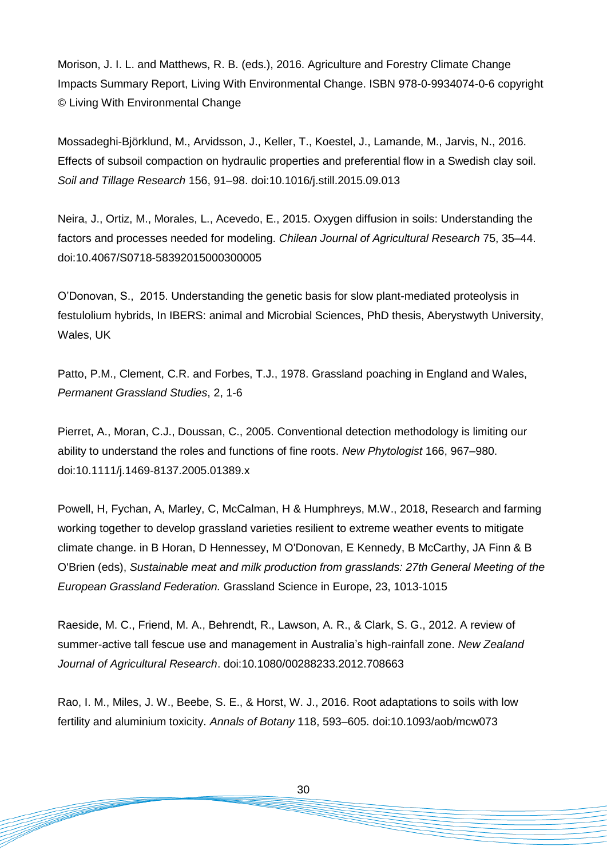Morison, J. I. L. and Matthews, R. B. (eds.), 2016. Agriculture and Forestry Climate Change Impacts Summary Report, Living With Environmental Change. ISBN 978-0-9934074-0-6 copyright © Living With Environmental Change

Mossadeghi-Björklund, M., Arvidsson, J., Keller, T., Koestel, J., Lamande, M., Jarvis, N., 2016. Effects of subsoil compaction on hydraulic properties and preferential flow in a Swedish clay soil. *Soil and Tillage Research* 156, 91–98. doi:10.1016/j.still.2015.09.013

Neira, J., Ortiz, M., Morales, L., Acevedo, E., 2015. Oxygen diffusion in soils: Understanding the factors and processes needed for modeling. *Chilean Journal of Agricultural Research* 75, 35–44. doi:10.4067/S0718-58392015000300005

O'Donovan, S., 2015. Understanding the genetic basis for slow plant-mediated proteolysis in festulolium hybrids, In IBERS: animal and Microbial Sciences, PhD thesis, Aberystwyth University, Wales, UK

Patto, P.M., Clement, C.R. and Forbes, T.J., 1978. Grassland poaching in England and Wales, *Permanent Grassland Studies*, 2, 1-6

Pierret, A., Moran, C.J., Doussan, C., 2005. Conventional detection methodology is limiting our ability to understand the roles and functions of fine roots. *New Phytologist* 166, 967–980. doi:10.1111/j.1469-8137.2005.01389.x

Powell, H, Fychan, A, Marley, C, McCalman, H & Humphreys, M.W., 2018, Research and farming working together to develop grassland varieties resilient to extreme weather events to mitigate climate change. in B Horan, D Hennessey, M O'Donovan, E Kennedy, B McCarthy, JA Finn & B O'Brien (eds), *Sustainable meat and milk production from grasslands: 27th General Meeting of the European Grassland Federation.* Grassland Science in Europe, 23, 1013-1015

Raeside, M. C., Friend, M. A., Behrendt, R., Lawson, A. R., & Clark, S. G., 2012. A review of summer-active tall fescue use and management in Australia's high-rainfall zone. *New Zealand Journal of Agricultural Research*. doi:10.1080/00288233.2012.708663

Rao, I. M., Miles, J. W., Beebe, S. E., & Horst, W. J., 2016. Root adaptations to soils with low fertility and aluminium toxicity. *Annals of Botany* 118, 593–605. doi:10.1093/aob/mcw073